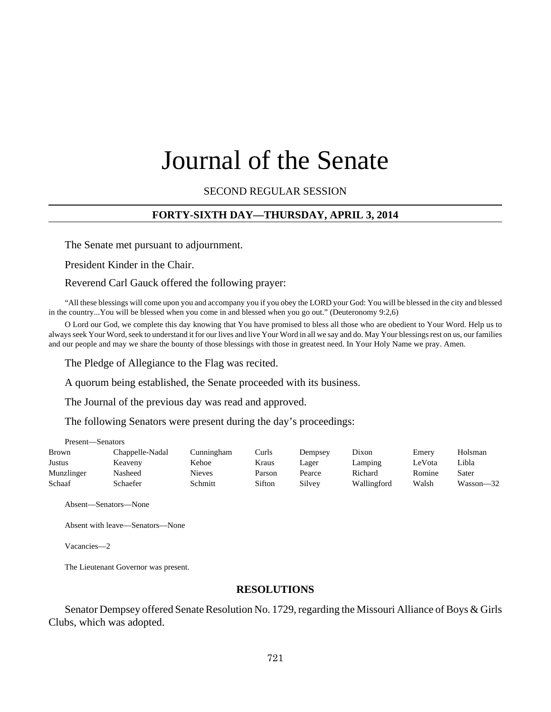# Journal of the Senate

SECOND REGULAR SESSION

## **FORTY-SIXTH DAY—THURSDAY, APRIL 3, 2014**

The Senate met pursuant to adjournment.

President Kinder in the Chair.

#### Reverend Carl Gauck offered the following prayer:

"All these blessings will come upon you and accompany you if you obey the LORD your God: You will be blessed in the city and blessed in the country...You will be blessed when you come in and blessed when you go out." (Deuteronomy 9:2,6)

O Lord our God, we complete this day knowing that You have promised to bless all those who are obedient to Your Word. Help us to always seek Your Word, seek to understand it for our lives and live Your Word in all we say and do. May Your blessings rest on us, our families and our people and may we share the bounty of those blessings with those in greatest need. In Your Holy Name we pray. Amen.

The Pledge of Allegiance to the Flag was recited.

A quorum being established, the Senate proceeded with its business.

The Journal of the previous day was read and approved.

The following Senators were present during the day's proceedings:

| Present—Senators |                 |               |        |         |             |        |           |
|------------------|-----------------|---------------|--------|---------|-------------|--------|-----------|
| <b>Brown</b>     | Chappelle-Nadal | Cunningham    | Curls  | Dempsey | Dixon       | Emery  | Holsman   |
| Justus           | Keaveny         | Kehoe         | Kraus  | Lager   | Lamping     | LeVota | Libla     |
| Munzlinger       | Nasheed         | <b>Nieves</b> | Parson | Pearce  | Richard     | Romine | Sater     |
| Schaaf           | Schaefer        | Schmitt       | Sifton | Silvey  | Wallingford | Walsh  | Wasson—32 |

Absent—Senators—None

Absent with leave—Senators—None

Vacancies—2

The Lieutenant Governor was present.

#### **RESOLUTIONS**

Senator Dempsey offered Senate Resolution No. 1729, regarding the Missouri Alliance of Boys & Girls Clubs, which was adopted.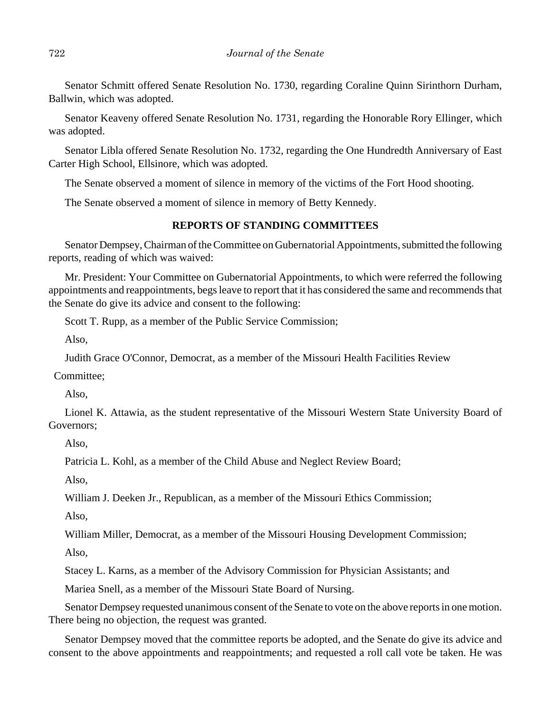Senator Schmitt offered Senate Resolution No. 1730, regarding Coraline Quinn Sirinthorn Durham, Ballwin, which was adopted.

Senator Keaveny offered Senate Resolution No. 1731, regarding the Honorable Rory Ellinger, which was adopted.

Senator Libla offered Senate Resolution No. 1732, regarding the One Hundredth Anniversary of East Carter High School, Ellsinore, which was adopted.

The Senate observed a moment of silence in memory of the victims of the Fort Hood shooting.

The Senate observed a moment of silence in memory of Betty Kennedy.

#### **REPORTS OF STANDING COMMITTEES**

Senator Dempsey, Chairman of the Committee on Gubernatorial Appointments, submitted the following reports, reading of which was waived:

Mr. President: Your Committee on Gubernatorial Appointments, to which were referred the following appointments and reappointments, begs leave to report that it has considered the same and recommends that the Senate do give its advice and consent to the following:

Scott T. Rupp, as a member of the Public Service Commission;

Also,

Judith Grace O'Connor, Democrat, as a member of the Missouri Health Facilities Review

Committee;

Also,

Lionel K. Attawia, as the student representative of the Missouri Western State University Board of Governors;

Also,

Patricia L. Kohl, as a member of the Child Abuse and Neglect Review Board;

Also,

William J. Deeken Jr., Republican, as a member of the Missouri Ethics Commission;

Also,

William Miller, Democrat, as a member of the Missouri Housing Development Commission;

Also,

Stacey L. Karns, as a member of the Advisory Commission for Physician Assistants; and

Mariea Snell, as a member of the Missouri State Board of Nursing.

Senator Dempsey requested unanimous consent of the Senate to vote on the above reports in one motion. There being no objection, the request was granted.

Senator Dempsey moved that the committee reports be adopted, and the Senate do give its advice and consent to the above appointments and reappointments; and requested a roll call vote be taken. He was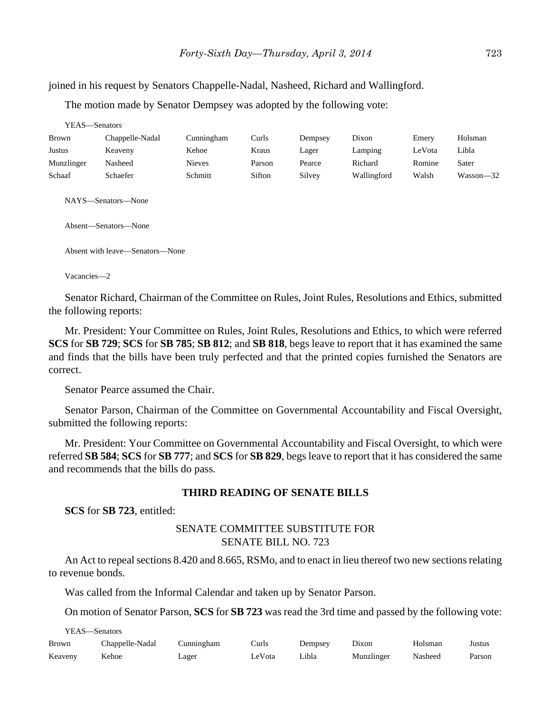joined in his request by Senators Chappelle-Nadal, Nasheed, Richard and Wallingford.

The motion made by Senator Dempsey was adopted by the following vote:

| YEAS—Senators |                 |               |        |         |             |        |           |
|---------------|-----------------|---------------|--------|---------|-------------|--------|-----------|
| Brown         | Chappelle-Nadal | Cunningham    | Curls  | Dempsey | Dixon       | Emery  | Holsman   |
| Justus        | Keaveny         | Kehoe         | Kraus  | Lager   | Lamping     | LeVota | Libla     |
| Munzlinger    | Nasheed         | <b>Nieves</b> | Parson | Pearce  | Richard     | Romine | Sater     |
| Schaaf        | Schaefer        | Schmitt       | Sifton | Silvey  | Wallingford | Walsh  | Wasson—32 |
|               |                 |               |        |         |             |        |           |

NAYS—Senators—None

Absent—Senators—None

Absent with leave—Senators—None

Vacancies—2

Senator Richard, Chairman of the Committee on Rules, Joint Rules, Resolutions and Ethics, submitted the following reports:

Mr. President: Your Committee on Rules, Joint Rules, Resolutions and Ethics, to which were referred **SCS** for **SB 729**; **SCS** for **SB 785**; **SB 812**; and **SB 818**, begs leave to report that it has examined the same and finds that the bills have been truly perfected and that the printed copies furnished the Senators are correct.

Senator Pearce assumed the Chair.

Senator Parson, Chairman of the Committee on Governmental Accountability and Fiscal Oversight, submitted the following reports:

Mr. President: Your Committee on Governmental Accountability and Fiscal Oversight, to which were referred **SB 584**; **SCS** for **SB 777**; and **SCS** for **SB 829**, begs leave to report that it has considered the same and recommends that the bills do pass.

#### **THIRD READING OF SENATE BILLS**

**SCS** for **SB 723**, entitled:

## SENATE COMMITTEE SUBSTITUTE FOR SENATE BILL NO. 723

An Act to repeal sections 8.420 and 8.665, RSMo, and to enact in lieu thereof two new sections relating to revenue bonds.

Was called from the Informal Calendar and taken up by Senator Parson.

On motion of Senator Parson, **SCS** for **SB 723** was read the 3rd time and passed by the following vote:

YEAS—Senators

| Brown   | Chappelle-Nadal | Cunningham | Curls  | Dempsey | Dixon      | Holsman | Justus |
|---------|-----------------|------------|--------|---------|------------|---------|--------|
| Keaveny | Kehoe           | ∟ager      | LeVota | Libla   | Munzlinger | Nasheed | Parson |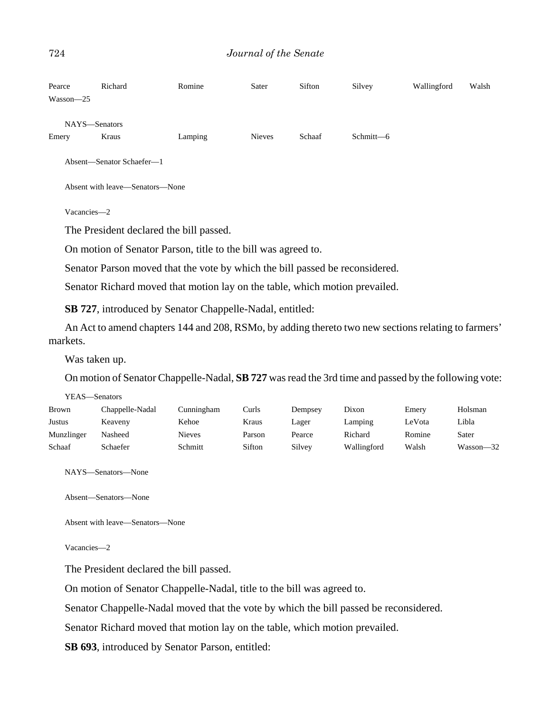| Pearce    | Richard                         | Romine                                                                       | Sater         | Sifton | Silvey    | Wallingford | Walsh |
|-----------|---------------------------------|------------------------------------------------------------------------------|---------------|--------|-----------|-------------|-------|
| Wasson-25 |                                 |                                                                              |               |        |           |             |       |
|           | NAYS—Senators                   |                                                                              |               |        |           |             |       |
| Emery     | Kraus                           | Lamping                                                                      | <b>Nieves</b> | Schaaf | Schmitt-6 |             |       |
|           | Absent-Senator Schaefer-1       |                                                                              |               |        |           |             |       |
|           | Absent with leave—Senators—None |                                                                              |               |        |           |             |       |
|           | Vacancies-2                     |                                                                              |               |        |           |             |       |
|           |                                 | The President declared the bill passed.                                      |               |        |           |             |       |
|           |                                 | On motion of Senator Parson, title to the bill was agreed to.                |               |        |           |             |       |
|           |                                 | Senator Parson moved that the vote by which the bill passed be reconsidered. |               |        |           |             |       |
|           |                                 | Senator Richard moved that motion lay on the table, which motion prevailed.  |               |        |           |             |       |

**SB 727**, introduced by Senator Chappelle-Nadal, entitled:

An Act to amend chapters 144 and 208, RSMo, by adding thereto two new sections relating to farmers' markets.

Was taken up.

On motion of Senator Chappelle-Nadal, **SB 727** was read the 3rd time and passed by the following vote:

| YEAS—Senators |                 |               |        |         |             |        |           |  |  |
|---------------|-----------------|---------------|--------|---------|-------------|--------|-----------|--|--|
| <b>Brown</b>  | Chappelle-Nadal | Cunningham    | Curls  | Dempsey | Dixon       | Emery  | Holsman   |  |  |
| Justus        | Keaveny         | Kehoe         | Kraus  | Lager   | Lamping     | LeVota | Libla     |  |  |
| Munzlinger    | Nasheed         | <b>Nieves</b> | Parson | Pearce  | Richard     | Romine | Sater     |  |  |
| Schaaf        | <b>Schaefer</b> | Schmitt       | Sifton | Silvey  | Wallingford | Walsh  | Wasson-32 |  |  |

NAYS—Senators—None

Absent—Senators—None

Absent with leave—Senators—None

Vacancies—2

The President declared the bill passed.

On motion of Senator Chappelle-Nadal, title to the bill was agreed to.

Senator Chappelle-Nadal moved that the vote by which the bill passed be reconsidered.

Senator Richard moved that motion lay on the table, which motion prevailed.

**SB 693**, introduced by Senator Parson, entitled: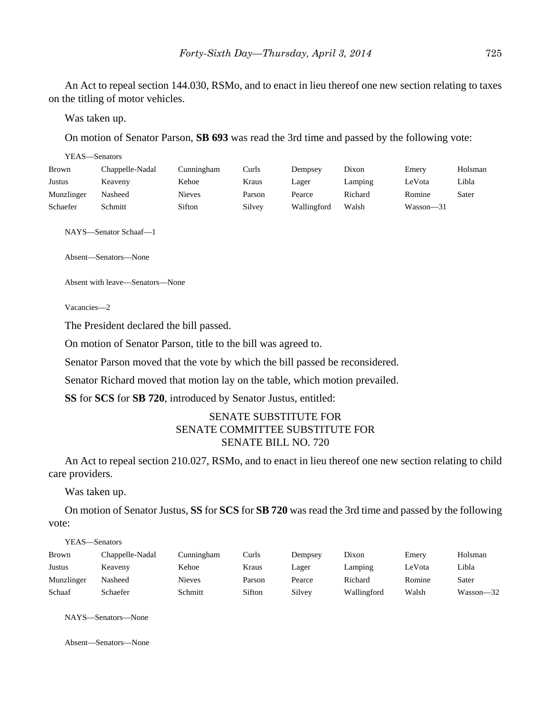An Act to repeal section 144.030, RSMo, and to enact in lieu thereof one new section relating to taxes on the titling of motor vehicles.

Was taken up.

On motion of Senator Parson, **SB 693** was read the 3rd time and passed by the following vote:

| YEAS—Senators |                 |               |        |             |         |               |         |
|---------------|-----------------|---------------|--------|-------------|---------|---------------|---------|
| <b>Brown</b>  | Chappelle-Nadal | Cunningham    | Curls  | Dempsey     | Dixon   | Emery         | Holsman |
| Justus        | Keaveny         | Kehoe         | Kraus  | Lager       | Lamping | LeVota        | Libla   |
| Munzlinger    | Nasheed         | <b>Nieves</b> | Parson | Pearce      | Richard | Romine        | Sater   |
| Schaefer      | Schmitt         | Sifton        | Silvey | Wallingford | Walsh   | $Wasson - 31$ |         |

NAYS—Senator Schaaf—1

Absent—Senators—None

Absent with leave—Senators—None

Vacancies—2

The President declared the bill passed.

On motion of Senator Parson, title to the bill was agreed to.

Senator Parson moved that the vote by which the bill passed be reconsidered.

Senator Richard moved that motion lay on the table, which motion prevailed.

**SS** for **SCS** for **SB 720**, introduced by Senator Justus, entitled:

# SENATE SUBSTITUTE FOR SENATE COMMITTEE SUBSTITUTE FOR SENATE BILL NO. 720

An Act to repeal section 210.027, RSMo, and to enact in lieu thereof one new section relating to child care providers.

Was taken up.

On motion of Senator Justus, **SS** for **SCS** for **SB 720** was read the 3rd time and passed by the following vote:

YEAS—Senators

| Brown      | Chappelle-Nadal | Cunningham    | Curls  | Dempsey | Dixon       | Emery  | Holsman   |
|------------|-----------------|---------------|--------|---------|-------------|--------|-----------|
| Justus     | Keaveny         | Kehoe         | Kraus  | ∟ager   | Lamping     | LeVota | Libla     |
| Munzlinger | Nasheed         | <b>Nieves</b> | Parson | Pearce  | Richard     | Romine | Sater     |
| Schaaf     | Schaefer        | Schmitt       | Sifton | Silvey  | Wallingford | Walsh  | Wasson-32 |

NAYS—Senators—None

Absent—Senators—None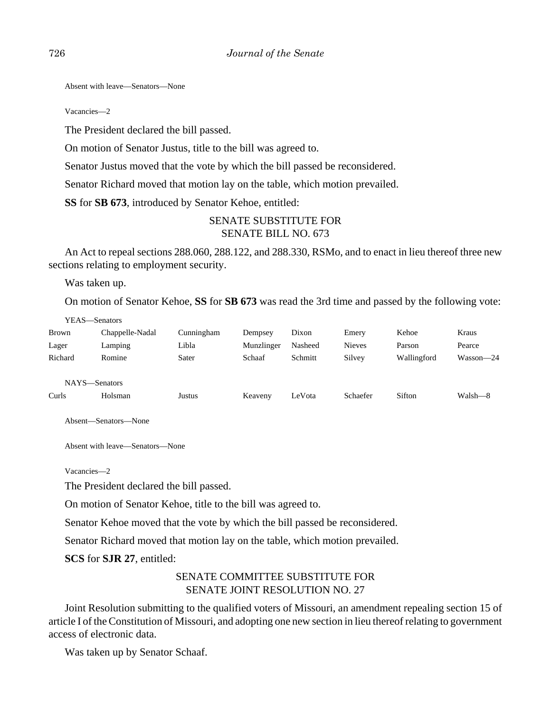Absent with leave—Senators—None

Vacancies—2

The President declared the bill passed.

On motion of Senator Justus, title to the bill was agreed to.

Senator Justus moved that the vote by which the bill passed be reconsidered.

Senator Richard moved that motion lay on the table, which motion prevailed.

**SS** for **SB 673**, introduced by Senator Kehoe, entitled:

# SENATE SUBSTITUTE FOR SENATE BILL NO. 673

An Act to repeal sections 288.060, 288.122, and 288.330, RSMo, and to enact in lieu thereof three new sections relating to employment security.

Was taken up.

On motion of Senator Kehoe, **SS** for **SB 673** was read the 3rd time and passed by the following vote:

YEAS—Senators

| <b>Brown</b> | Chappelle-Nadal | Cunningham | Dempsey    | Dixon   | Emery         | Kehoe       | Kraus     |
|--------------|-----------------|------------|------------|---------|---------------|-------------|-----------|
| Lager        | Lamping         | Libla      | Munzlinger | Nasheed | <b>Nieves</b> | Parson      | Pearce    |
| Richard      | Romine          | Sater      | Schaaf     | Schmitt | Silvey        | Wallingford | Wasson-24 |
| <b>NAVC</b>  | Sanators        |            |            |         |               |             |           |

NAYS—Senators

Curls Holsman Justus Keaveny LeVota Schaefer Sifton Walsh—8

Absent—Senators—None

Absent with leave—Senators—None

Vacancies—2

The President declared the bill passed.

On motion of Senator Kehoe, title to the bill was agreed to.

Senator Kehoe moved that the vote by which the bill passed be reconsidered.

Senator Richard moved that motion lay on the table, which motion prevailed.

**SCS** for **SJR 27**, entitled:

# SENATE COMMITTEE SUBSTITUTE FOR SENATE JOINT RESOLUTION NO. 27

Joint Resolution submitting to the qualified voters of Missouri, an amendment repealing section 15 of article I of the Constitution of Missouri, and adopting one new section in lieu thereof relating to government access of electronic data.

Was taken up by Senator Schaaf.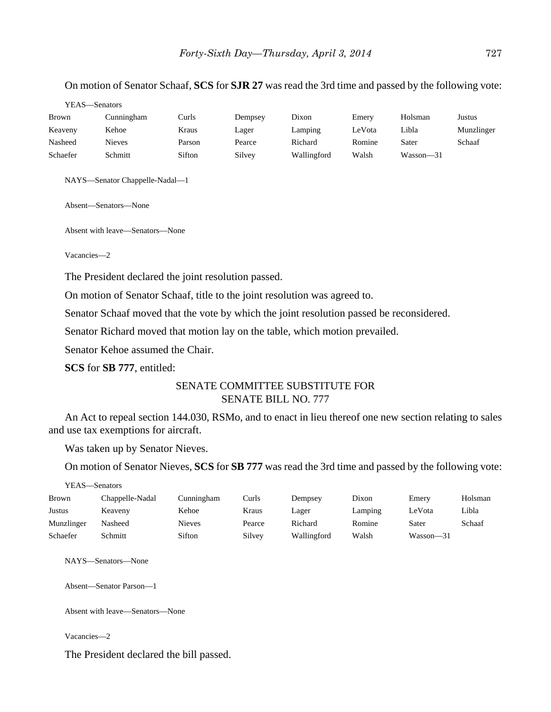#### On motion of Senator Schaaf, **SCS** for **SJR 27** was read the 3rd time and passed by the following vote:

|              | YEAS—Senators |        |         |             |        |               |            |  |  |
|--------------|---------------|--------|---------|-------------|--------|---------------|------------|--|--|
| <b>Brown</b> | Cunningham    | Curls  | Dempsey | Dixon       | Emery  | Holsman       | Justus     |  |  |
| Keaveny      | Kehoe         | Kraus  | Lager   | Lamping     | LeVota | Libla         | Munzlinger |  |  |
| Nasheed      | Nieves        | Parson | Pearce  | Richard     | Romine | Sater         | Schaaf     |  |  |
| Schaefer     | Schmitt       | Sifton | Silvey  | Wallingford | Walsh  | $Wasson - 31$ |            |  |  |
|              |               |        |         |             |        |               |            |  |  |

NAYS—Senator Chappelle-Nadal—1

Absent—Senators—None

Absent with leave—Senators—None

Vacancies—2

The President declared the joint resolution passed.

On motion of Senator Schaaf, title to the joint resolution was agreed to.

Senator Schaaf moved that the vote by which the joint resolution passed be reconsidered.

Senator Richard moved that motion lay on the table, which motion prevailed.

Senator Kehoe assumed the Chair.

**SCS** for **SB 777**, entitled:

## SENATE COMMITTEE SUBSTITUTE FOR SENATE BILL NO. 777

An Act to repeal section 144.030, RSMo, and to enact in lieu thereof one new section relating to sales and use tax exemptions for aircraft.

Was taken up by Senator Nieves.

On motion of Senator Nieves, **SCS** for **SB 777** was read the 3rd time and passed by the following vote:

YEAS—Senators

| <b>Brown</b> | Chappelle-Nadal | Cunningham    | Curls  | Dempsey     | Dixon   | Emery         | Holsman |
|--------------|-----------------|---------------|--------|-------------|---------|---------------|---------|
| Justus       | Keaveny         | Kehoe         | Kraus  | Lager       | Lamping | LeVota        | Libla   |
| Munzlinger   | Nasheed         | <b>Nieves</b> | Pearce | Richard     | Romine  | Sater         | Schaaf  |
| Schaefer     | Schmitt         | Sifton        | Silvey | Wallingford | Walsh   | $Wasson - 31$ |         |

NAYS—Senators—None

Absent—Senator Parson—1

Absent with leave—Senators—None

Vacancies—2

The President declared the bill passed.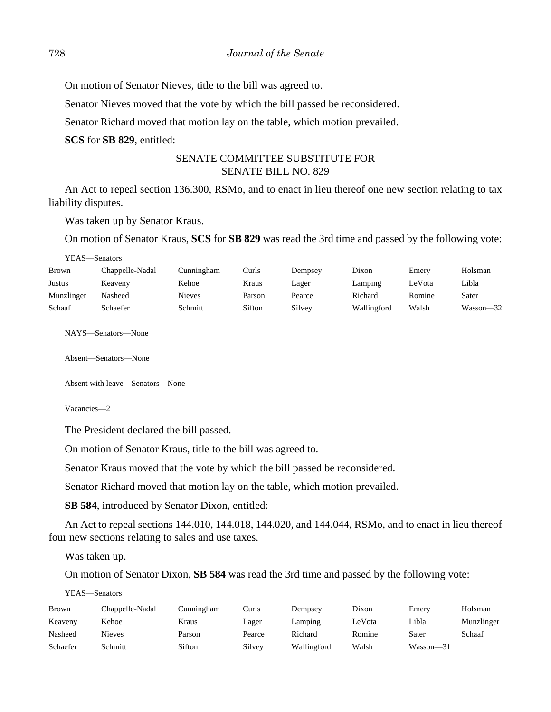On motion of Senator Nieves, title to the bill was agreed to.

Senator Nieves moved that the vote by which the bill passed be reconsidered.

Senator Richard moved that motion lay on the table, which motion prevailed.

**SCS** for **SB 829**, entitled:

# SENATE COMMITTEE SUBSTITUTE FOR SENATE BILL NO. 829

An Act to repeal section 136.300, RSMo, and to enact in lieu thereof one new section relating to tax liability disputes.

Was taken up by Senator Kraus.

On motion of Senator Kraus, **SCS** for **SB 829** was read the 3rd time and passed by the following vote:

| YEAS—Senators |                 |            |        |         |             |        |           |  |  |  |
|---------------|-----------------|------------|--------|---------|-------------|--------|-----------|--|--|--|
| <b>Brown</b>  | Chappelle-Nadal | Cunningham | Curls  | Dempsey | Dixon       | Emery  | Holsman   |  |  |  |
| Justus        | Keaveny         | Kehoe      | Kraus  | Lager   | Lamping     | LeVota | Libla     |  |  |  |
| Munzlinger    | Nasheed         | Nieves     | Parson | Pearce  | Richard     | Romine | Sater     |  |  |  |
| Schaaf        | Schaefer        | Schmitt    | Sifton | Silvey  | Wallingford | Walsh  | Wasson—32 |  |  |  |

NAYS—Senators—None

Absent—Senators—None

Absent with leave—Senators—None

Vacancies—2

The President declared the bill passed.

On motion of Senator Kraus, title to the bill was agreed to.

Senator Kraus moved that the vote by which the bill passed be reconsidered.

Senator Richard moved that motion lay on the table, which motion prevailed.

**SB 584**, introduced by Senator Dixon, entitled:

An Act to repeal sections 144.010, 144.018, 144.020, and 144.044, RSMo, and to enact in lieu thereof four new sections relating to sales and use taxes.

Was taken up.

On motion of Senator Dixon, **SB 584** was read the 3rd time and passed by the following vote:

YEAS—Senators

| Brown    | Chappelle-Nadal | Cunningham | Curls  | Dempsey     | Dixon  | Emerv     | Holsman    |
|----------|-----------------|------------|--------|-------------|--------|-----------|------------|
| Keaveny  | Kehoe           | Kraus      | Lager  | Lamping     | LeVota | Libla     | Munzlinger |
| Nasheed  | Nieves          | Parson     | Pearce | Richard     | Romine | Sater     | Schaaf     |
| Schaefer | Schmitt         | Sifton     | Silvey | Wallingford | Walsh  | Wasson-31 |            |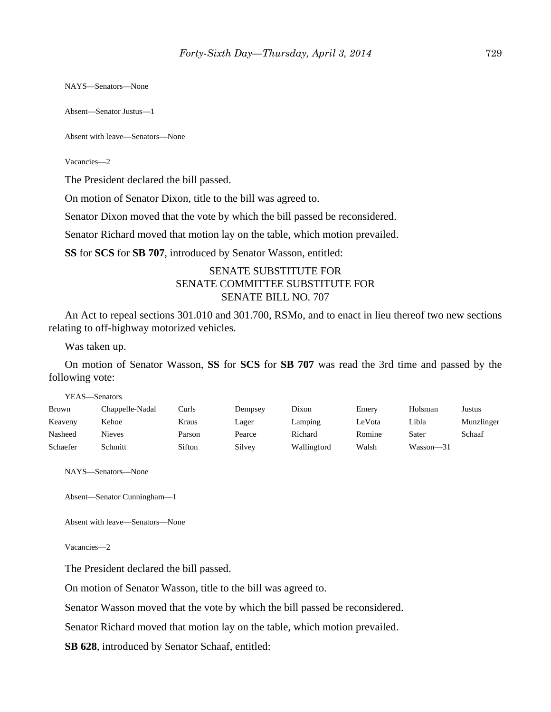NAYS—Senators—None

Absent—Senator Justus—1

Absent with leave—Senators—None

Vacancies—2

The President declared the bill passed.

On motion of Senator Dixon, title to the bill was agreed to.

Senator Dixon moved that the vote by which the bill passed be reconsidered.

Senator Richard moved that motion lay on the table, which motion prevailed.

**SS** for **SCS** for **SB 707**, introduced by Senator Wasson, entitled:

# SENATE SUBSTITUTE FOR SENATE COMMITTEE SUBSTITUTE FOR SENATE BILL NO. 707

An Act to repeal sections 301.010 and 301.700, RSMo, and to enact in lieu thereof two new sections relating to off-highway motorized vehicles.

Was taken up.

On motion of Senator Wasson, **SS** for **SCS** for **SB 707** was read the 3rd time and passed by the following vote:

| YEAS—Senators |                 |        |         |             |        |           |            |
|---------------|-----------------|--------|---------|-------------|--------|-----------|------------|
| Brown         | Chappelle-Nadal | Curls  | Dempsey | Dixon       | Emery  | Holsman   | Justus     |
| Keaveny       | Kehoe           | Kraus  | Lager   | Lamping     | LeVota | Libla     | Munzlinger |
| Nasheed       | Nieves          | Parson | Pearce  | Richard     | Romine | Sater     | Schaaf     |
| Schaefer      | Schmitt         | Sifton | Silvey  | Wallingford | Walsh  | Wasson-31 |            |

NAYS—Senators—None

Absent—Senator Cunningham—1

Absent with leave—Senators—None

Vacancies—2

The President declared the bill passed.

On motion of Senator Wasson, title to the bill was agreed to.

Senator Wasson moved that the vote by which the bill passed be reconsidered.

Senator Richard moved that motion lay on the table, which motion prevailed.

**SB 628**, introduced by Senator Schaaf, entitled: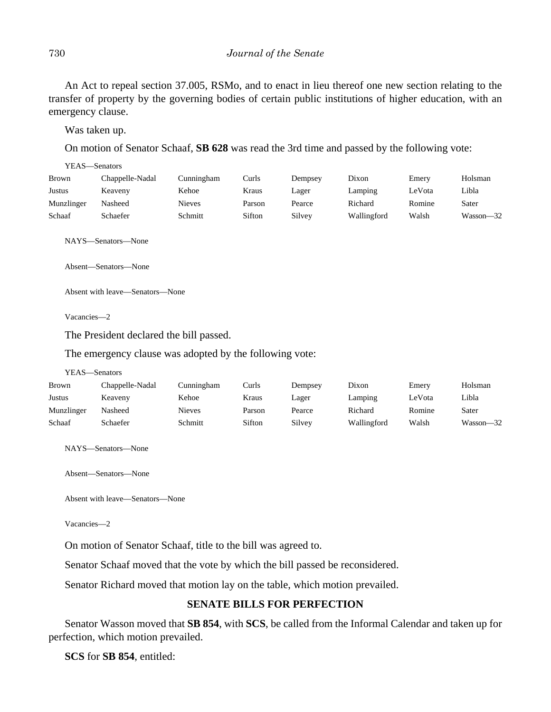An Act to repeal section 37.005, RSMo, and to enact in lieu thereof one new section relating to the transfer of property by the governing bodies of certain public institutions of higher education, with an emergency clause.

Was taken up.

On motion of Senator Schaaf, **SB 628** was read the 3rd time and passed by the following vote:

| YEAS—Senators |                 |               |        |         |             |        |           |
|---------------|-----------------|---------------|--------|---------|-------------|--------|-----------|
| Brown         | Chappelle-Nadal | Cunningham    | Curls  | Dempsey | Dixon       | Emery  | Holsman   |
| Justus        | Keaveny         | Kehoe         | Kraus  | Lager   | Lamping     | LeVota | Libla     |
| Munzlinger    | Nasheed         | <b>Nieves</b> | Parson | Pearce  | Richard     | Romine | Sater     |
| Schaaf        | Schaefer        | Schmitt       | Sifton | Silvey  | Wallingford | Walsh  | Wasson-32 |

NAYS—Senators—None

Absent—Senators—None

Absent with leave—Senators—None

Vacancies—2

The President declared the bill passed.

The emergency clause was adopted by the following vote:

```
YEAS—Senators
```

| Brown      | Chappelle-Nadal | Cunningham | Curls  | Dempsey | Dixon       | Emery  | Holsman   |
|------------|-----------------|------------|--------|---------|-------------|--------|-----------|
| Justus     | Keaveny         | Kehoe      | Kraus  | Lager   | Lamping     | ∟eVota | Libla     |
| Munzlinger | Nasheed         | Nieves     | Parson | Pearce  | Richard     | Romine | Sater     |
| Schaaf     | Schaefer        | Schmitt    | Sifton | Silvey  | Wallingford | Walsh  | Wasson—32 |

NAYS—Senators—None

Absent—Senators—None

Absent with leave—Senators—None

Vacancies—2

On motion of Senator Schaaf, title to the bill was agreed to.

Senator Schaaf moved that the vote by which the bill passed be reconsidered.

Senator Richard moved that motion lay on the table, which motion prevailed.

# **SENATE BILLS FOR PERFECTION**

Senator Wasson moved that **SB 854**, with **SCS**, be called from the Informal Calendar and taken up for perfection, which motion prevailed.

**SCS** for **SB 854**, entitled: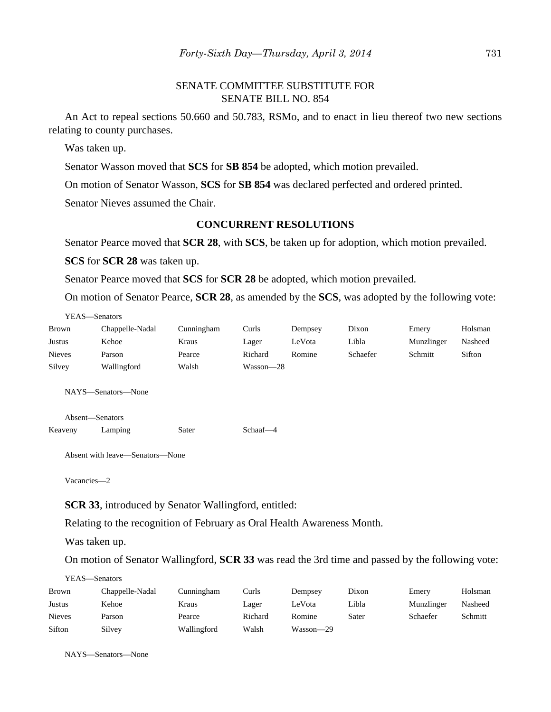# SENATE COMMITTEE SUBSTITUTE FOR SENATE BILL NO. 854

An Act to repeal sections 50.660 and 50.783, RSMo, and to enact in lieu thereof two new sections relating to county purchases.

Was taken up.

Senator Wasson moved that **SCS** for **SB 854** be adopted, which motion prevailed.

On motion of Senator Wasson, **SCS** for **SB 854** was declared perfected and ordered printed.

Senator Nieves assumed the Chair.

## **CONCURRENT RESOLUTIONS**

Senator Pearce moved that **SCR 28**, with **SCS**, be taken up for adoption, which motion prevailed.

**SCS** for **SCR 28** was taken up.

Senator Pearce moved that **SCS** for **SCR 28** be adopted, which motion prevailed.

On motion of Senator Pearce, **SCR 28**, as amended by the **SCS**, was adopted by the following vote:

| YEAS—Senators |                 |            |           |         |          |            |         |
|---------------|-----------------|------------|-----------|---------|----------|------------|---------|
| <b>Brown</b>  | Chappelle-Nadal | Cunningham | Curls     | Dempsey | Dixon    | Emery      | Holsman |
| Justus        | Kehoe           | Kraus      | Lager     | LeVota  | Libla    | Munzlinger | Nasheed |
| <b>Nieves</b> | Parson          | Pearce     | Richard   | Romine  | Schaefer | Schmitt    | Sifton  |
| Silvey        | Wallingford     | Walsh      | Wasson—28 |         |          |            |         |

NAYS—Senators—None

Absent—Senators

Keaveny Lamping Sater Schaaf-4

Absent with leave—Senators—None

Vacancies—2

**SCR 33**, introduced by Senator Wallingford, entitled:

Relating to the recognition of February as Oral Health Awareness Month.

Was taken up.

On motion of Senator Wallingford, **SCR 33** was read the 3rd time and passed by the following vote:

YEAS—Senators

| <b>Brown</b>  | Chappelle-Nadal | Cunningham  | Curls   | Dempsey   | Dixon | Emery      | Holsman |
|---------------|-----------------|-------------|---------|-----------|-------|------------|---------|
| Justus        | Kehoe           | Kraus       | Lager   | LeVota    | Libla | Munzlinger | Nasheed |
| <b>Nieves</b> | Parson          | Pearce      | Richard | Romine    | Sater | Schaefer   | Schmitt |
| Sifton        | Silvey          | Wallingford | Walsh   | Wasson-29 |       |            |         |

NAYS—Senators—None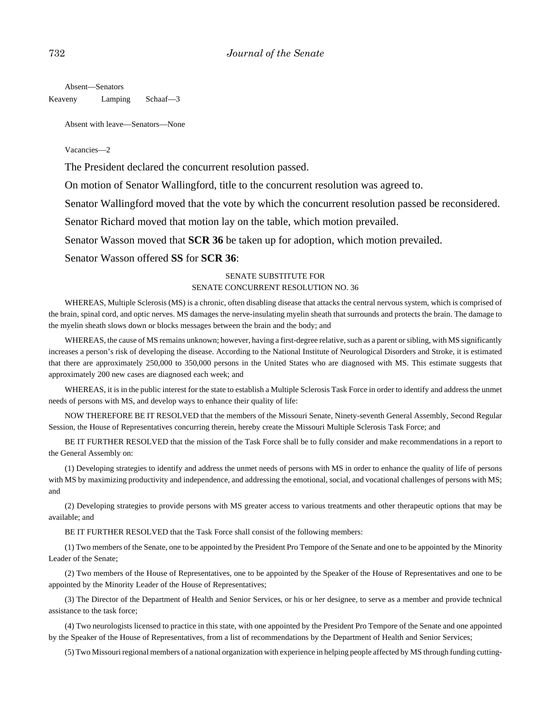Absent—Senators

Keaveny Lamping Schaaf—3

Absent with leave—Senators—None

Vacancies—2

The President declared the concurrent resolution passed.

On motion of Senator Wallingford, title to the concurrent resolution was agreed to.

Senator Wallingford moved that the vote by which the concurrent resolution passed be reconsidered.

Senator Richard moved that motion lay on the table, which motion prevailed.

Senator Wasson moved that **SCR 36** be taken up for adoption, which motion prevailed.

Senator Wasson offered **SS** for **SCR 36**:

#### SENATE SUBSTITUTE FOR

#### SENATE CONCURRENT RESOLUTION NO. 36

WHEREAS, Multiple Sclerosis (MS) is a chronic, often disabling disease that attacks the central nervous system, which is comprised of the brain, spinal cord, and optic nerves. MS damages the nerve-insulating myelin sheath that surrounds and protects the brain. The damage to the myelin sheath slows down or blocks messages between the brain and the body; and

WHEREAS, the cause of MS remains unknown; however, having a first-degree relative, such as a parent or sibling, with MS significantly increases a person's risk of developing the disease. According to the National Institute of Neurological Disorders and Stroke, it is estimated that there are approximately 250,000 to 350,000 persons in the United States who are diagnosed with MS. This estimate suggests that approximately 200 new cases are diagnosed each week; and

WHEREAS, it is in the public interest for the state to establish a Multiple Sclerosis Task Force in order to identify and address the unmet needs of persons with MS, and develop ways to enhance their quality of life:

NOW THEREFORE BE IT RESOLVED that the members of the Missouri Senate, Ninety-seventh General Assembly, Second Regular Session, the House of Representatives concurring therein, hereby create the Missouri Multiple Sclerosis Task Force; and

BE IT FURTHER RESOLVED that the mission of the Task Force shall be to fully consider and make recommendations in a report to the General Assembly on:

(1) Developing strategies to identify and address the unmet needs of persons with MS in order to enhance the quality of life of persons with MS by maximizing productivity and independence, and addressing the emotional, social, and vocational challenges of persons with MS; and

(2) Developing strategies to provide persons with MS greater access to various treatments and other therapeutic options that may be available; and

BE IT FURTHER RESOLVED that the Task Force shall consist of the following members:

 (1) Two members of the Senate, one to be appointed by the President Pro Tempore of the Senate and one to be appointed by the Minority Leader of the Senate;

(2) Two members of the House of Representatives, one to be appointed by the Speaker of the House of Representatives and one to be appointed by the Minority Leader of the House of Representatives;

(3) The Director of the Department of Health and Senior Services, or his or her designee, to serve as a member and provide technical assistance to the task force;

(4) Two neurologists licensed to practice in this state, with one appointed by the President Pro Tempore of the Senate and one appointed by the Speaker of the House of Representatives, from a list of recommendations by the Department of Health and Senior Services;

(5) Two Missouri regional members of a national organization with experience in helping people affected by MS through funding cutting-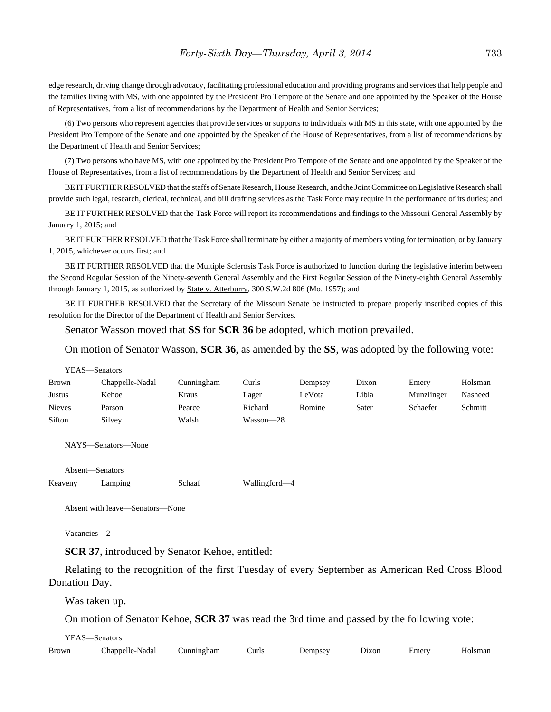edge research, driving change through advocacy, facilitating professional education and providing programs and services that help people and the families living with MS, with one appointed by the President Pro Tempore of the Senate and one appointed by the Speaker of the House of Representatives, from a list of recommendations by the Department of Health and Senior Services;

(6) Two persons who represent agencies that provide services or supports to individuals with MS in this state, with one appointed by the President Pro Tempore of the Senate and one appointed by the Speaker of the House of Representatives, from a list of recommendations by the Department of Health and Senior Services;

(7) Two persons who have MS, with one appointed by the President Pro Tempore of the Senate and one appointed by the Speaker of the House of Representatives, from a list of recommendations by the Department of Health and Senior Services; and

BE IT FURTHER RESOLVED that the staffs of Senate Research, House Research, and the Joint Committee on Legislative Research shall provide such legal, research, clerical, technical, and bill drafting services as the Task Force may require in the performance of its duties; and

BE IT FURTHER RESOLVED that the Task Force will report its recommendations and findings to the Missouri General Assembly by January 1, 2015; and

BE IT FURTHER RESOLVED that the Task Force shall terminate by either a majority of members voting for termination, or by January 1, 2015, whichever occurs first; and

BE IT FURTHER RESOLVED that the Multiple Sclerosis Task Force is authorized to function during the legislative interim between the Second Regular Session of the Ninety-seventh General Assembly and the First Regular Session of the Ninety-eighth General Assembly through January 1, 2015, as authorized by State v. Atterburry, 300 S.W.2d 806 (Mo. 1957); and

BE IT FURTHER RESOLVED that the Secretary of the Missouri Senate be instructed to prepare properly inscribed copies of this resolution for the Director of the Department of Health and Senior Services.

Senator Wasson moved that **SS** for **SCR 36** be adopted, which motion prevailed.

On motion of Senator Wasson, **SCR 36**, as amended by the **SS**, was adopted by the following vote:

| YEAS—Senators |                 |            |           |         |       |            |         |
|---------------|-----------------|------------|-----------|---------|-------|------------|---------|
| <b>Brown</b>  | Chappelle-Nadal | Cunningham | Curls     | Dempsey | Dixon | Emery      | Holsman |
| Justus        | Kehoe           | Kraus      | Lager     | LeVota  | Libla | Munzlinger | Nasheed |
| <b>Nieves</b> | Parson          | Pearce     | Richard   | Romine  | Sater | Schaefer   | Schmitt |
| Sifton        | Silvey          | Walsh      | Wasson—28 |         |       |            |         |

NAYS—Senators—None

Absent—Senators

|         | Absent—Senators |        |               |
|---------|-----------------|--------|---------------|
| Keaveny | Lamping         | Schaaf | Wallingford—4 |

Absent with leave—Senators—None

Vacancies—2

**SCR 37**, introduced by Senator Kehoe, entitled:

Relating to the recognition of the first Tuesday of every September as American Red Cross Blood Donation Day.

Was taken up.

On motion of Senator Kehoe, **SCR 37** was read the 3rd time and passed by the following vote:

YEAS—Senators

| <b>Brown</b> | <b>A</b><br>hannelle-<br>⊱Nadal | ∆unnıngham | ∶urls | Jemnsey | Jixon | ∴merv<br>______ | 0.82200 |
|--------------|---------------------------------|------------|-------|---------|-------|-----------------|---------|
|--------------|---------------------------------|------------|-------|---------|-------|-----------------|---------|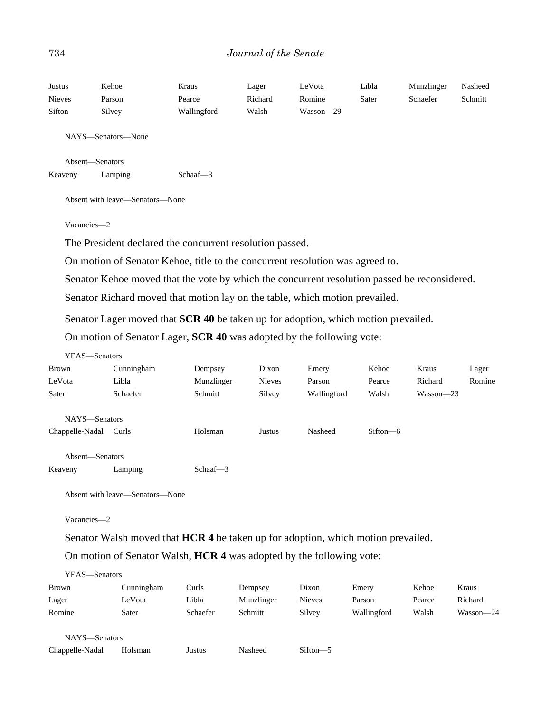#### 734 *Journal of the Senate*

| Justus        | Kehoe                           | Kraus                                                                                        | Lager   | LeVota    | Libla | Munzlinger | Nasheed |
|---------------|---------------------------------|----------------------------------------------------------------------------------------------|---------|-----------|-------|------------|---------|
| <b>Nieves</b> | Parson                          | Pearce                                                                                       | Richard | Romine    | Sater | Schaefer   | Schmitt |
| Sifton        | Silvey                          | Wallingford                                                                                  | Walsh   | Wasson-29 |       |            |         |
|               | NAYS—Senators—None              |                                                                                              |         |           |       |            |         |
|               | Absent-Senators                 |                                                                                              |         |           |       |            |         |
| Keaveny       | Lamping                         | Schaaf $-3$                                                                                  |         |           |       |            |         |
|               | Absent with leave—Senators—None |                                                                                              |         |           |       |            |         |
|               | Vacancies-2                     |                                                                                              |         |           |       |            |         |
|               |                                 | The President declared the concurrent resolution passed.                                     |         |           |       |            |         |
|               |                                 | On motion of Senator Kehoe, title to the concurrent resolution was agreed to.                |         |           |       |            |         |
|               |                                 | Senator Kehoe moved that the vote by which the concurrent resolution passed be reconsidered. |         |           |       |            |         |

Senator Richard moved that motion lay on the table, which motion prevailed.

Senator Lager moved that **SCR 40** be taken up for adoption, which motion prevailed.

On motion of Senator Lager, **SCR 40** was adopted by the following vote:

| YEAS—Senators   |            |             |               |             |              |               |        |
|-----------------|------------|-------------|---------------|-------------|--------------|---------------|--------|
| Brown           | Cunningham | Dempsey     | Dixon         | Emery       | Kehoe        | Kraus         | Lager  |
| LeVota          | Libla      | Munzlinger  | <b>Nieves</b> | Parson      | Pearce       | Richard       | Romine |
| Sater           | Schaefer   | Schmitt     | Silvey        | Wallingford | Walsh        | $Wasson - 23$ |        |
| NAYS-Senators   |            |             |               |             |              |               |        |
| Chappelle-Nadal | Curls      | Holsman     | Justus        | Nasheed     | $Sifton - 6$ |               |        |
| Absent—Senators |            |             |               |             |              |               |        |
| Keaveny         | Lamping    | Schaaf $-3$ |               |             |              |               |        |

Absent with leave—Senators—None

Vacancies—2

Senator Walsh moved that **HCR 4** be taken up for adoption, which motion prevailed.

On motion of Senator Walsh, **HCR 4** was adopted by the following vote:

| YEAS—Senators |            |          |            |        |             |        |           |
|---------------|------------|----------|------------|--------|-------------|--------|-----------|
| <b>Brown</b>  | Cunningham | Curls    | Dempsey    | Dixon  | Emery       | Kehoe  | Kraus     |
| Lager         | LeVota     | Libla    | Munzlinger | Nieves | Parson      | Pearce | Richard   |
| Romine        | Sater      | Schaefer | Schmitt    | Silvey | Wallingford | Walsh  | Wasson-24 |
|               |            |          |            |        |             |        |           |

NAYS—Senators

Chappelle-Nadal Holsman Justus Nasheed Sifton—5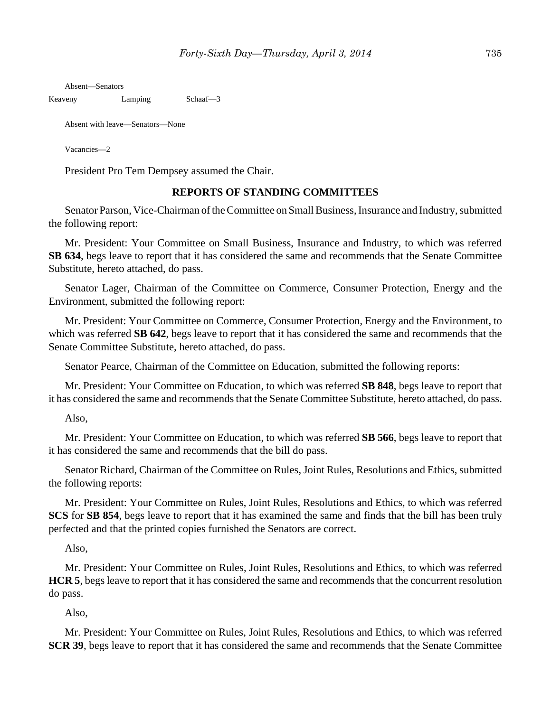Absent—Senators

Keaveny Lamping Schaaf-3

Absent with leave—Senators—None

Vacancies—2

President Pro Tem Dempsey assumed the Chair.

#### **REPORTS OF STANDING COMMITTEES**

Senator Parson, Vice-Chairman of the Committee on Small Business, Insurance and Industry, submitted the following report:

Mr. President: Your Committee on Small Business, Insurance and Industry, to which was referred **SB 634**, begs leave to report that it has considered the same and recommends that the Senate Committee Substitute, hereto attached, do pass.

Senator Lager, Chairman of the Committee on Commerce, Consumer Protection, Energy and the Environment, submitted the following report:

Mr. President: Your Committee on Commerce, Consumer Protection, Energy and the Environment, to which was referred **SB 642**, begs leave to report that it has considered the same and recommends that the Senate Committee Substitute, hereto attached, do pass.

Senator Pearce, Chairman of the Committee on Education, submitted the following reports:

Mr. President: Your Committee on Education, to which was referred **SB 848**, begs leave to report that it has considered the same and recommends that the Senate Committee Substitute, hereto attached, do pass.

Also,

Mr. President: Your Committee on Education, to which was referred **SB 566**, begs leave to report that it has considered the same and recommends that the bill do pass.

Senator Richard, Chairman of the Committee on Rules, Joint Rules, Resolutions and Ethics, submitted the following reports:

Mr. President: Your Committee on Rules, Joint Rules, Resolutions and Ethics, to which was referred **SCS** for **SB 854**, begs leave to report that it has examined the same and finds that the bill has been truly perfected and that the printed copies furnished the Senators are correct.

Also,

Mr. President: Your Committee on Rules, Joint Rules, Resolutions and Ethics, to which was referred **HCR 5**, begs leave to report that it has considered the same and recommends that the concurrent resolution do pass.

Also,

Mr. President: Your Committee on Rules, Joint Rules, Resolutions and Ethics, to which was referred **SCR 39**, begs leave to report that it has considered the same and recommends that the Senate Committee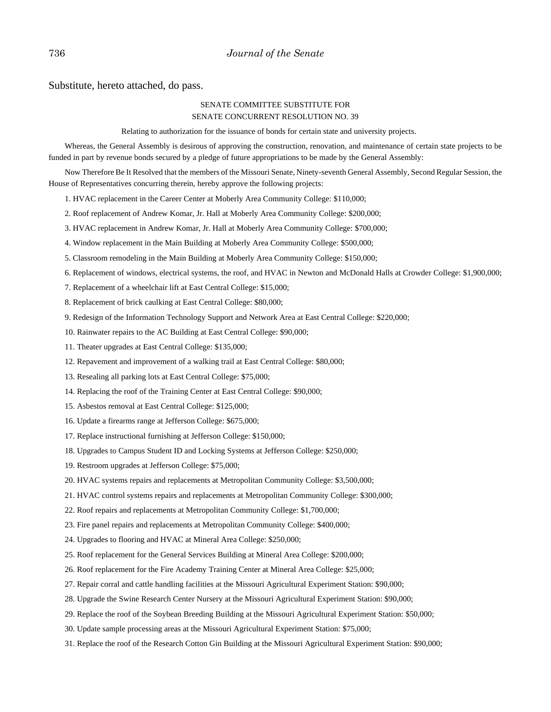Substitute, hereto attached, do pass.

#### SENATE COMMITTEE SUBSTITUTE FOR SENATE CONCURRENT RESOLUTION NO. 39

Relating to authorization for the issuance of bonds for certain state and university projects.

Whereas, the General Assembly is desirous of approving the construction, renovation, and maintenance of certain state projects to be funded in part by revenue bonds secured by a pledge of future appropriations to be made by the General Assembly:

Now Therefore Be It Resolved that the members of the Missouri Senate, Ninety-seventh General Assembly, Second Regular Session, the House of Representatives concurring therein, hereby approve the following projects:

- 1. HVAC replacement in the Career Center at Moberly Area Community College: \$110,000;
- 2. Roof replacement of Andrew Komar, Jr. Hall at Moberly Area Community College: \$200,000;
- 3. HVAC replacement in Andrew Komar, Jr. Hall at Moberly Area Community College: \$700,000;
- 4. Window replacement in the Main Building at Moberly Area Community College: \$500,000;
- 5. Classroom remodeling in the Main Building at Moberly Area Community College: \$150,000;
- 6. Replacement of windows, electrical systems, the roof, and HVAC in Newton and McDonald Halls at Crowder College: \$1,900,000;
- 7. Replacement of a wheelchair lift at East Central College: \$15,000;
- 8. Replacement of brick caulking at East Central College: \$80,000;
- 9. Redesign of the Information Technology Support and Network Area at East Central College: \$220,000;
- 10. Rainwater repairs to the AC Building at East Central College: \$90,000;
- 11. Theater upgrades at East Central College: \$135,000;
- 12. Repavement and improvement of a walking trail at East Central College: \$80,000;
- 13. Resealing all parking lots at East Central College: \$75,000;
- 14. Replacing the roof of the Training Center at East Central College: \$90,000;
- 15. Asbestos removal at East Central College: \$125,000;
- 16. Update a firearms range at Jefferson College: \$675,000;
- 17. Replace instructional furnishing at Jefferson College: \$150,000;
- 18. Upgrades to Campus Student ID and Locking Systems at Jefferson College: \$250,000;
- 19. Restroom upgrades at Jefferson College: \$75,000;
- 20. HVAC systems repairs and replacements at Metropolitan Community College: \$3,500,000;
- 21. HVAC control systems repairs and replacements at Metropolitan Community College: \$300,000;
- 22. Roof repairs and replacements at Metropolitan Community College: \$1,700,000;
- 23. Fire panel repairs and replacements at Metropolitan Community College: \$400,000;
- 24. Upgrades to flooring and HVAC at Mineral Area College: \$250,000;
- 25. Roof replacement for the General Services Building at Mineral Area College: \$200,000;
- 26. Roof replacement for the Fire Academy Training Center at Mineral Area College: \$25,000;
- 27. Repair corral and cattle handling facilities at the Missouri Agricultural Experiment Station: \$90,000;
- 28. Upgrade the Swine Research Center Nursery at the Missouri Agricultural Experiment Station: \$90,000;
- 29. Replace the roof of the Soybean Breeding Building at the Missouri Agricultural Experiment Station: \$50,000;
- 30. Update sample processing areas at the Missouri Agricultural Experiment Station: \$75,000;
- 31. Replace the roof of the Research Cotton Gin Building at the Missouri Agricultural Experiment Station: \$90,000;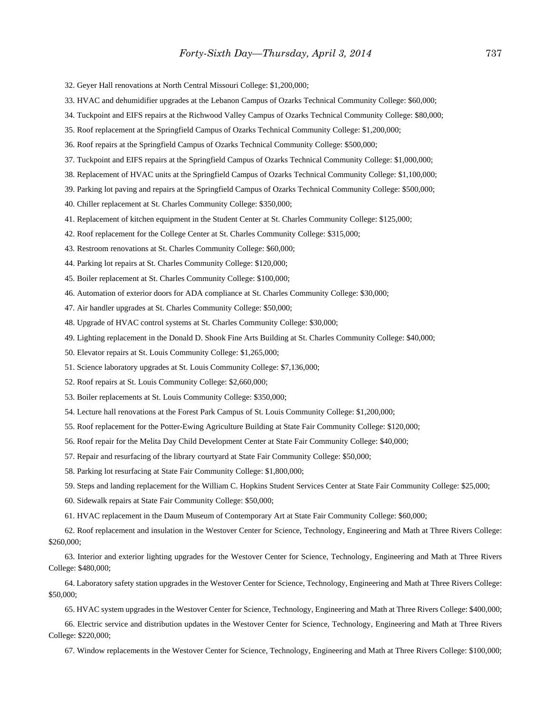- 32. Geyer Hall renovations at North Central Missouri College: \$1,200,000;
- 33. HVAC and dehumidifier upgrades at the Lebanon Campus of Ozarks Technical Community College: \$60,000;
- 34. Tuckpoint and EIFS repairs at the Richwood Valley Campus of Ozarks Technical Community College: \$80,000;
- 35. Roof replacement at the Springfield Campus of Ozarks Technical Community College: \$1,200,000;
- 36. Roof repairs at the Springfield Campus of Ozarks Technical Community College: \$500,000;
- 37. Tuckpoint and EIFS repairs at the Springfield Campus of Ozarks Technical Community College: \$1,000,000;
- 38. Replacement of HVAC units at the Springfield Campus of Ozarks Technical Community College: \$1,100,000;
- 39. Parking lot paving and repairs at the Springfield Campus of Ozarks Technical Community College: \$500,000;
- 40. Chiller replacement at St. Charles Community College: \$350,000;
- 41. Replacement of kitchen equipment in the Student Center at St. Charles Community College: \$125,000;
- 42. Roof replacement for the College Center at St. Charles Community College: \$315,000;
- 43. Restroom renovations at St. Charles Community College: \$60,000;
- 44. Parking lot repairs at St. Charles Community College: \$120,000;
- 45. Boiler replacement at St. Charles Community College: \$100,000;
- 46. Automation of exterior doors for ADA compliance at St. Charles Community College: \$30,000;
- 47. Air handler upgrades at St. Charles Community College: \$50,000;
- 48. Upgrade of HVAC control systems at St. Charles Community College: \$30,000;
- 49. Lighting replacement in the Donald D. Shook Fine Arts Building at St. Charles Community College: \$40,000;
- 50. Elevator repairs at St. Louis Community College: \$1,265,000;
- 51. Science laboratory upgrades at St. Louis Community College: \$7,136,000;
- 52. Roof repairs at St. Louis Community College: \$2,660,000;
- 53. Boiler replacements at St. Louis Community College: \$350,000;
- 54. Lecture hall renovations at the Forest Park Campus of St. Louis Community College: \$1,200,000;
- 55. Roof replacement for the Potter-Ewing Agriculture Building at State Fair Community College: \$120,000;
- 56. Roof repair for the Melita Day Child Development Center at State Fair Community College: \$40,000;
- 57. Repair and resurfacing of the library courtyard at State Fair Community College: \$50,000;
- 58. Parking lot resurfacing at State Fair Community College: \$1,800,000;
- 59. Steps and landing replacement for the William C. Hopkins Student Services Center at State Fair Community College: \$25,000;
- 60. Sidewalk repairs at State Fair Community College: \$50,000;
- 61. HVAC replacement in the Daum Museum of Contemporary Art at State Fair Community College: \$60,000;
- 62. Roof replacement and insulation in the Westover Center for Science, Technology, Engineering and Math at Three Rivers College: \$260,000;
- 63. Interior and exterior lighting upgrades for the Westover Center for Science, Technology, Engineering and Math at Three Rivers College: \$480,000;
- 64. Laboratory safety station upgrades in the Westover Center for Science, Technology, Engineering and Math at Three Rivers College: \$50,000;
	- 65. HVAC system upgrades in the Westover Center for Science, Technology, Engineering and Math at Three Rivers College: \$400,000;
- 66. Electric service and distribution updates in the Westover Center for Science, Technology, Engineering and Math at Three Rivers College: \$220,000;
	- 67. Window replacements in the Westover Center for Science, Technology, Engineering and Math at Three Rivers College: \$100,000;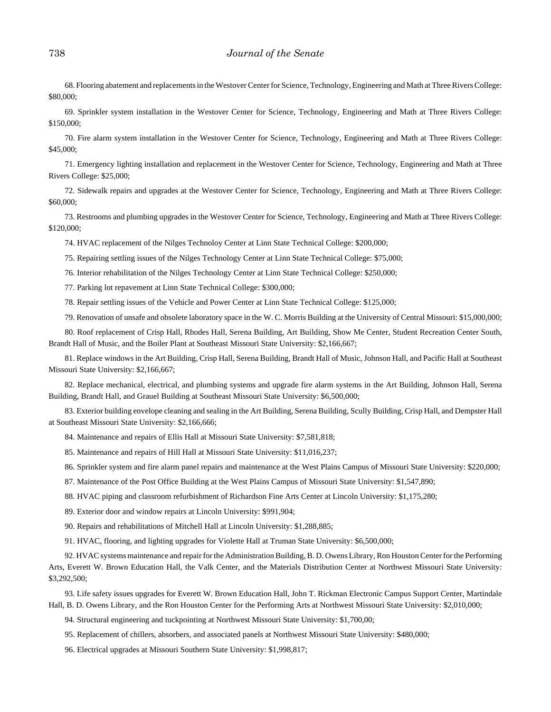68. Flooring abatement and replacements in the Westover Center for Science, Technology, Engineering and Math at Three Rivers College: \$80,000;

69. Sprinkler system installation in the Westover Center for Science, Technology, Engineering and Math at Three Rivers College: \$150,000;

70. Fire alarm system installation in the Westover Center for Science, Technology, Engineering and Math at Three Rivers College: \$45,000;

71. Emergency lighting installation and replacement in the Westover Center for Science, Technology, Engineering and Math at Three Rivers College: \$25,000;

72. Sidewalk repairs and upgrades at the Westover Center for Science, Technology, Engineering and Math at Three Rivers College: \$60,000;

73. Restrooms and plumbing upgrades in the Westover Center for Science, Technology, Engineering and Math at Three Rivers College: \$120,000;

74. HVAC replacement of the Nilges Technoloy Center at Linn State Technical College: \$200,000;

75. Repairing settling issues of the Nilges Technology Center at Linn State Technical College: \$75,000;

76. Interior rehabilitation of the Nilges Technology Center at Linn State Technical College: \$250,000;

77. Parking lot repavement at Linn State Technical College: \$300,000;

78. Repair settling issues of the Vehicle and Power Center at Linn State Technical College: \$125,000;

79. Renovation of unsafe and obsolete laboratory space in the W. C. Morris Building at the University of Central Missouri: \$15,000,000;

80. Roof replacement of Crisp Hall, Rhodes Hall, Serena Building, Art Building, Show Me Center, Student Recreation Center South, Brandt Hall of Music, and the Boiler Plant at Southeast Missouri State University: \$2,166,667;

81. Replace windows in the Art Building, Crisp Hall, Serena Building, Brandt Hall of Music, Johnson Hall, and Pacific Hall at Southeast Missouri State University: \$2,166,667;

82. Replace mechanical, electrical, and plumbing systems and upgrade fire alarm systems in the Art Building, Johnson Hall, Serena Building, Brandt Hall, and Grauel Building at Southeast Missouri State University: \$6,500,000;

83. Exterior building envelope cleaning and sealing in the Art Building, Serena Building, Scully Building, Crisp Hall, and Dempster Hall at Southeast Missouri State University: \$2,166,666;

84. Maintenance and repairs of Ellis Hall at Missouri State University: \$7,581,818;

85. Maintenance and repairs of Hill Hall at Missouri State University: \$11,016,237;

86. Sprinkler system and fire alarm panel repairs and maintenance at the West Plains Campus of Missouri State University: \$220,000;

87. Maintenance of the Post Office Building at the West Plains Campus of Missouri State University: \$1,547,890;

88. HVAC piping and classroom refurbishment of Richardson Fine Arts Center at Lincoln University: \$1,175,280;

89. Exterior door and window repairs at Lincoln University: \$991,904;

90. Repairs and rehabilitations of Mitchell Hall at Lincoln University: \$1,288,885;

91. HVAC, flooring, and lighting upgrades for Violette Hall at Truman State University: \$6,500,000;

92. HVAC systems maintenance and repair for the Administration Building, B. D. Owens Library, Ron Houston Center for the Performing Arts, Everett W. Brown Education Hall, the Valk Center, and the Materials Distribution Center at Northwest Missouri State University: \$3,292,500;

93. Life safety issues upgrades for Everett W. Brown Education Hall, John T. Rickman Electronic Campus Support Center, Martindale Hall, B. D. Owens Library, and the Ron Houston Center for the Performing Arts at Northwest Missouri State University: \$2,010,000;

94. Structural engineering and tuckpointing at Northwest Missouri State University: \$1,700,00;

95. Replacement of chillers, absorbers, and associated panels at Northwest Missouri State University: \$480,000;

96. Electrical upgrades at Missouri Southern State University: \$1,998,817;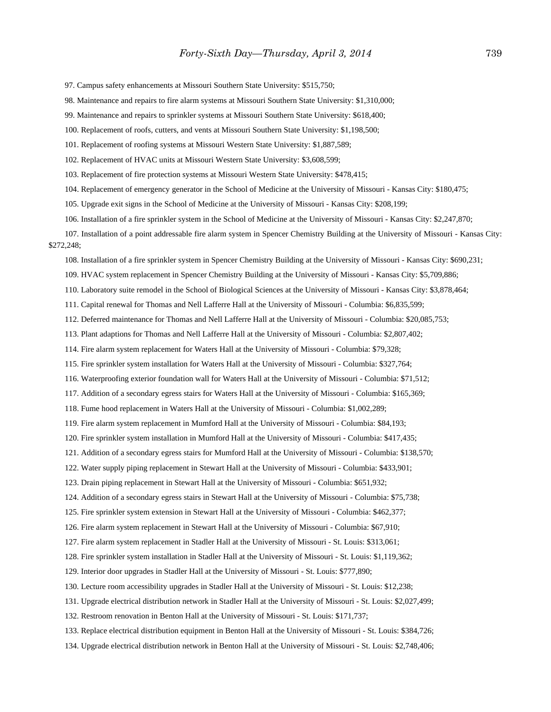97. Campus safety enhancements at Missouri Southern State University: \$515,750;

98. Maintenance and repairs to fire alarm systems at Missouri Southern State University: \$1,310,000;

99. Maintenance and repairs to sprinkler systems at Missouri Southern State University: \$618,400;

100. Replacement of roofs, cutters, and vents at Missouri Southern State University: \$1,198,500;

101. Replacement of roofing systems at Missouri Western State University: \$1,887,589;

102. Replacement of HVAC units at Missouri Western State University: \$3,608,599;

103. Replacement of fire protection systems at Missouri Western State University: \$478,415;

104. Replacement of emergency generator in the School of Medicine at the University of Missouri - Kansas City: \$180,475;

105. Upgrade exit signs in the School of Medicine at the University of Missouri - Kansas City: \$208,199;

106. Installation of a fire sprinkler system in the School of Medicine at the University of Missouri - Kansas City: \$2,247,870;

107. Installation of a point addressable fire alarm system in Spencer Chemistry Building at the University of Missouri - Kansas City: \$272,248;

108. Installation of a fire sprinkler system in Spencer Chemistry Building at the University of Missouri - Kansas City: \$690,231;

109. HVAC system replacement in Spencer Chemistry Building at the University of Missouri - Kansas City: \$5,709,886;

110. Laboratory suite remodel in the School of Biological Sciences at the University of Missouri - Kansas City: \$3,878,464;

111. Capital renewal for Thomas and Nell Lafferre Hall at the University of Missouri - Columbia: \$6,835,599;

112. Deferred maintenance for Thomas and Nell Lafferre Hall at the University of Missouri - Columbia: \$20,085,753;

113. Plant adaptions for Thomas and Nell Lafferre Hall at the University of Missouri - Columbia: \$2,807,402;

114. Fire alarm system replacement for Waters Hall at the University of Missouri - Columbia: \$79,328;

115. Fire sprinkler system installation for Waters Hall at the University of Missouri - Columbia: \$327,764;

116. Waterproofing exterior foundation wall for Waters Hall at the University of Missouri - Columbia: \$71,512;

117. Addition of a secondary egress stairs for Waters Hall at the University of Missouri - Columbia: \$165,369;

118. Fume hood replacement in Waters Hall at the University of Missouri - Columbia: \$1,002,289;

119. Fire alarm system replacement in Mumford Hall at the University of Missouri - Columbia: \$84,193;

120. Fire sprinkler system installation in Mumford Hall at the University of Missouri - Columbia: \$417,435;

121. Addition of a secondary egress stairs for Mumford Hall at the University of Missouri - Columbia: \$138,570;

122. Water supply piping replacement in Stewart Hall at the University of Missouri - Columbia: \$433,901;

123. Drain piping replacement in Stewart Hall at the University of Missouri - Columbia: \$651,932;

124. Addition of a secondary egress stairs in Stewart Hall at the University of Missouri - Columbia: \$75,738;

125. Fire sprinkler system extension in Stewart Hall at the University of Missouri - Columbia: \$462,377;

126. Fire alarm system replacement in Stewart Hall at the University of Missouri - Columbia: \$67,910;

127. Fire alarm system replacement in Stadler Hall at the University of Missouri - St. Louis: \$313,061;

128. Fire sprinkler system installation in Stadler Hall at the University of Missouri - St. Louis: \$1,119,362;

129. Interior door upgrades in Stadler Hall at the University of Missouri - St. Louis: \$777,890;

130. Lecture room accessibility upgrades in Stadler Hall at the University of Missouri - St. Louis: \$12,238;

131. Upgrade electrical distribution network in Stadler Hall at the University of Missouri - St. Louis: \$2,027,499;

132. Restroom renovation in Benton Hall at the University of Missouri - St. Louis: \$171,737;

133. Replace electrical distribution equipment in Benton Hall at the University of Missouri - St. Louis: \$384,726;

134. Upgrade electrical distribution network in Benton Hall at the University of Missouri - St. Louis: \$2,748,406;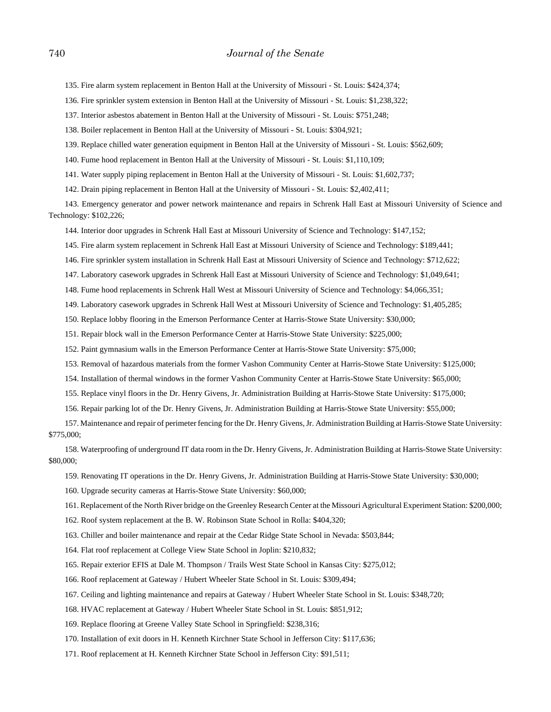135. Fire alarm system replacement in Benton Hall at the University of Missouri - St. Louis: \$424,374;

136. Fire sprinkler system extension in Benton Hall at the University of Missouri - St. Louis: \$1,238,322;

137. Interior asbestos abatement in Benton Hall at the University of Missouri - St. Louis: \$751,248;

138. Boiler replacement in Benton Hall at the University of Missouri - St. Louis: \$304,921;

139. Replace chilled water generation equipment in Benton Hall at the University of Missouri - St. Louis: \$562,609;

140. Fume hood replacement in Benton Hall at the University of Missouri - St. Louis: \$1,110,109;

141. Water supply piping replacement in Benton Hall at the University of Missouri - St. Louis: \$1,602,737;

142. Drain piping replacement in Benton Hall at the University of Missouri - St. Louis: \$2,402,411;

143. Emergency generator and power network maintenance and repairs in Schrenk Hall East at Missouri University of Science and Technology: \$102,226;

144. Interior door upgrades in Schrenk Hall East at Missouri University of Science and Technology: \$147,152;

145. Fire alarm system replacement in Schrenk Hall East at Missouri University of Science and Technology: \$189,441;

146. Fire sprinkler system installation in Schrenk Hall East at Missouri University of Science and Technology: \$712,622;

147. Laboratory casework upgrades in Schrenk Hall East at Missouri University of Science and Technology: \$1,049,641;

148. Fume hood replacements in Schrenk Hall West at Missouri University of Science and Technology: \$4,066,351;

149. Laboratory casework upgrades in Schrenk Hall West at Missouri University of Science and Technology: \$1,405,285;

150. Replace lobby flooring in the Emerson Performance Center at Harris-Stowe State University: \$30,000;

151. Repair block wall in the Emerson Performance Center at Harris-Stowe State University: \$225,000;

152. Paint gymnasium walls in the Emerson Performance Center at Harris-Stowe State University: \$75,000;

153. Removal of hazardous materials from the former Vashon Community Center at Harris-Stowe State University: \$125,000;

154. Installation of thermal windows in the former Vashon Community Center at Harris-Stowe State University: \$65,000;

155. Replace vinyl floors in the Dr. Henry Givens, Jr. Administration Building at Harris-Stowe State University: \$175,000;

156. Repair parking lot of the Dr. Henry Givens, Jr. Administration Building at Harris-Stowe State University: \$55,000;

157. Maintenance and repair of perimeter fencing for the Dr. Henry Givens, Jr. Administration Building at Harris-Stowe State University: \$775,000;

158. Waterproofing of underground IT data room in the Dr. Henry Givens, Jr. Administration Building at Harris-Stowe State University: \$80,000;

159. Renovating IT operations in the Dr. Henry Givens, Jr. Administration Building at Harris-Stowe State University: \$30,000;

160. Upgrade security cameras at Harris-Stowe State University: \$60,000;

161. Replacement of the North River bridge on the Greenley Research Center at the Missouri Agricultural Experiment Station: \$200,000;

162. Roof system replacement at the B. W. Robinson State School in Rolla: \$404,320;

163. Chiller and boiler maintenance and repair at the Cedar Ridge State School in Nevada: \$503,844;

164. Flat roof replacement at College View State School in Joplin: \$210,832;

165. Repair exterior EFIS at Dale M. Thompson / Trails West State School in Kansas City: \$275,012;

166. Roof replacement at Gateway / Hubert Wheeler State School in St. Louis: \$309,494;

167. Ceiling and lighting maintenance and repairs at Gateway / Hubert Wheeler State School in St. Louis: \$348,720;

168. HVAC replacement at Gateway / Hubert Wheeler State School in St. Louis: \$851,912;

169. Replace flooring at Greene Valley State School in Springfield: \$238,316;

170. Installation of exit doors in H. Kenneth Kirchner State School in Jefferson City: \$117,636;

171. Roof replacement at H. Kenneth Kirchner State School in Jefferson City: \$91,511;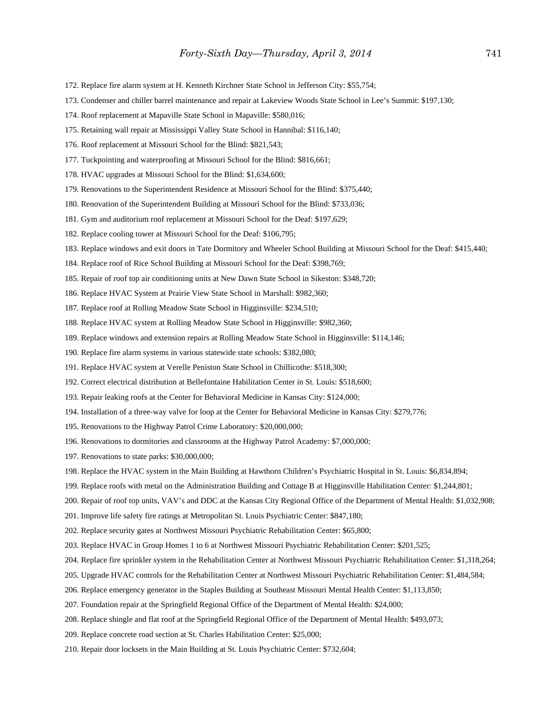- 172. Replace fire alarm system at H. Kenneth Kirchner State School in Jefferson City: \$55,754;
- 173. Condenser and chiller barrel maintenance and repair at Lakeview Woods State School in Lee's Summit: \$197,130;
- 174. Roof replacement at Mapaville State School in Mapaville: \$580,016;
- 175. Retaining wall repair at Mississippi Valley State School in Hannibal: \$116,140;
- 176. Roof replacement at Missouri School for the Blind: \$821,543;
- 177. Tuckpointing and waterproofing at Missouri School for the Blind: \$816,661;
- 178. HVAC upgrades at Missouri School for the Blind: \$1,634,600;
- 179. Renovations to the Superintendent Residence at Missouri School for the Blind: \$375,440;
- 180. Renovation of the Superintendent Building at Missouri School for the Blind: \$733,036;
- 181. Gym and auditorium roof replacement at Missouri School for the Deaf: \$197,629;
- 182. Replace cooling tower at Missouri School for the Deaf: \$106,795;
- 183. Replace windows and exit doors in Tate Dormitory and Wheeler School Building at Missouri School for the Deaf: \$415,440;
- 184. Replace roof of Rice School Building at Missouri School for the Deaf: \$398,769;
- 185. Repair of roof top air conditioning units at New Dawn State School in Sikeston: \$348,720;
- 186. Replace HVAC System at Prairie View State School in Marshall: \$982,360;
- 187. Replace roof at Rolling Meadow State School in Higginsville: \$234,510;
- 188. Replace HVAC system at Rolling Meadow State School in Higginsville: \$982,360;
- 189. Replace windows and extension repairs at Rolling Meadow State School in Higginsville: \$114,146;
- 190. Replace fire alarm systems in various statewide state schools: \$382,080;
- 191. Replace HVAC system at Verelle Peniston State School in Chillicothe: \$518,300;
- 192. Correct electrical distribution at Bellefontaine Habilitation Center in St. Louis: \$518,600;
- 193. Repair leaking roofs at the Center for Behavioral Medicine in Kansas City: \$124,000;
- 194. Installation of a three-way valve for loop at the Center for Behavioral Medicine in Kansas City: \$279,776;
- 195. Renovations to the Highway Patrol Crime Laboratory: \$20,000,000;
- 196. Renovations to dormitories and classrooms at the Highway Patrol Academy: \$7,000,000;
- 197. Renovations to state parks: \$30,000,000;
- 198. Replace the HVAC system in the Main Building at Hawthorn Children's Psychiatric Hospital in St. Louis: \$6,834,894;
- 199. Replace roofs with metal on the Administration Building and Cottage B at Higginsville Habilitation Center: \$1,244,801;
- 200. Repair of roof top units, VAV's and DDC at the Kansas City Regional Office of the Department of Mental Health: \$1,032,908;
- 201. Improve life safety fire ratings at Metropolitan St. Louis Psychiatric Center: \$847,180;
- 202. Replace security gates at Northwest Missouri Psychiatric Rehabilitation Center: \$65,800;
- 203. Replace HVAC in Group Homes 1 to 6 at Northwest Missouri Psychiatric Rehabilitation Center: \$201,525;
- 204. Replace fire sprinkler system in the Rehabilitation Center at Northwest Missouri Psychiatric Rehabilitation Center: \$1,318,264;
- 205. Upgrade HVAC controls for the Rehabilitation Center at Northwest Missouri Psychiatric Rehabilitation Center: \$1,484,584;
- 206. Replace emergency generator in the Staples Building at Southeast Missouri Mental Health Center: \$1,113,850;
- 207. Foundation repair at the Springfield Regional Office of the Department of Mental Health: \$24,000;
- 208. Replace shingle and flat roof at the Springfield Regional Office of the Department of Mental Health: \$493,073;
- 209. Replace concrete road section at St. Charles Habilitation Center: \$25,000;
- 210. Repair door locksets in the Main Building at St. Louis Psychiatric Center: \$732,604;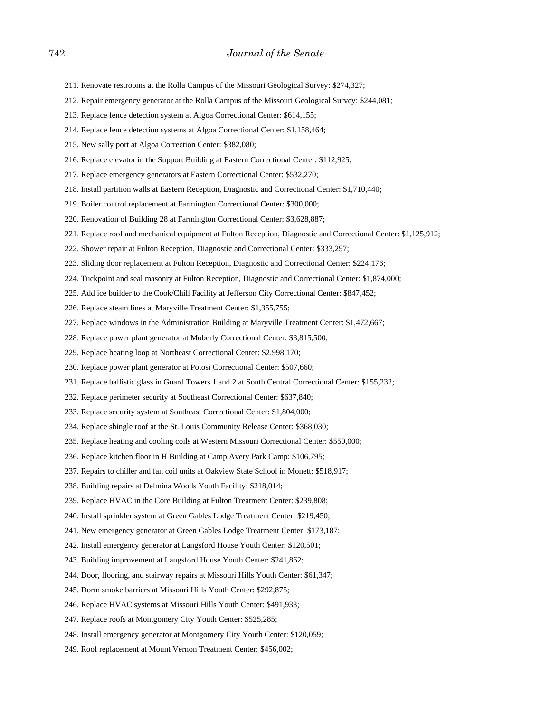- 211. Renovate restrooms at the Rolla Campus of the Missouri Geological Survey: \$274,327;
- 212. Repair emergency generator at the Rolla Campus of the Missouri Geological Survey: \$244,081;
- 213. Replace fence detection system at Algoa Correctional Center: \$614,155;
- 214. Replace fence detection systems at Algoa Correctional Center: \$1,158,464;
- 215. New sally port at Algoa Correction Center: \$382,080;
- 216. Replace elevator in the Support Building at Eastern Correctional Center: \$112,925;
- 217. Replace emergency generators at Eastern Correctional Center: \$532,270;
- 218. Install partition walls at Eastern Reception, Diagnostic and Correctional Center: \$1,710,440;
- 219. Boiler control replacement at Farmington Correctional Center: \$300,000;
- 220. Renovation of Building 28 at Farmington Correctional Center: \$3,628,887;
- 221. Replace roof and mechanical equipment at Fulton Reception, Diagnostic and Correctional Center: \$1,125,912;
- 222. Shower repair at Fulton Reception, Diagnostic and Correctional Center: \$333,297;
- 223. Sliding door replacement at Fulton Reception, Diagnostic and Correctional Center: \$224,176;
- 224. Tuckpoint and seal masonry at Fulton Reception, Diagnostic and Correctional Center: \$1,874,000;
- 225. Add ice builder to the Cook/Chill Facility at Jefferson City Correctional Center: \$847,452;
- 226. Replace steam lines at Maryville Treatment Center: \$1,355,755;
- 227. Replace windows in the Administration Building at Maryville Treatment Center: \$1,472,667;
- 228. Replace power plant generator at Moberly Correctional Center: \$3,815,500;
- 229. Replace heating loop at Northeast Correctional Center: \$2,998,170;
- 230. Replace power plant generator at Potosi Correctional Center: \$507,660;
- 231. Replace ballistic glass in Guard Towers 1 and 2 at South Central Correctional Center: \$155,232;
- 232. Replace perimeter security at Southeast Correctional Center: \$637,840;
- 233. Replace security system at Southeast Correctional Center: \$1,804,000;
- 234. Replace shingle roof at the St. Louis Community Release Center: \$368,030;
- 235. Replace heating and cooling coils at Western Missouri Correctional Center: \$550,000;
- 236. Replace kitchen floor in H Building at Camp Avery Park Camp: \$106,795;
- 237. Repairs to chiller and fan coil units at Oakview State School in Monett: \$518,917;
- 238. Building repairs at Delmina Woods Youth Facility: \$218,014;
- 239. Replace HVAC in the Core Building at Fulton Treatment Center: \$239,808;
- 240. Install sprinkler system at Green Gables Lodge Treatment Center: \$219,450;
- 241. New emergency generator at Green Gables Lodge Treatment Center: \$173,187;
- 242. Install emergency generator at Langsford House Youth Center: \$120,501;
- 243. Building improvement at Langsford House Youth Center: \$241,862;
- 244. Door, flooring, and stairway repairs at Missouri Hills Youth Center: \$61,347;
- 245. Dorm smoke barriers at Missouri Hills Youth Center: \$292,875;
- 246. Replace HVAC systems at Missouri Hills Youth Center: \$491,933;
- 247. Replace roofs at Montgomery City Youth Center: \$525,285;
- 248. Install emergency generator at Montgomery City Youth Center: \$120,059;
- 249. Roof replacement at Mount Vernon Treatment Center: \$456,002;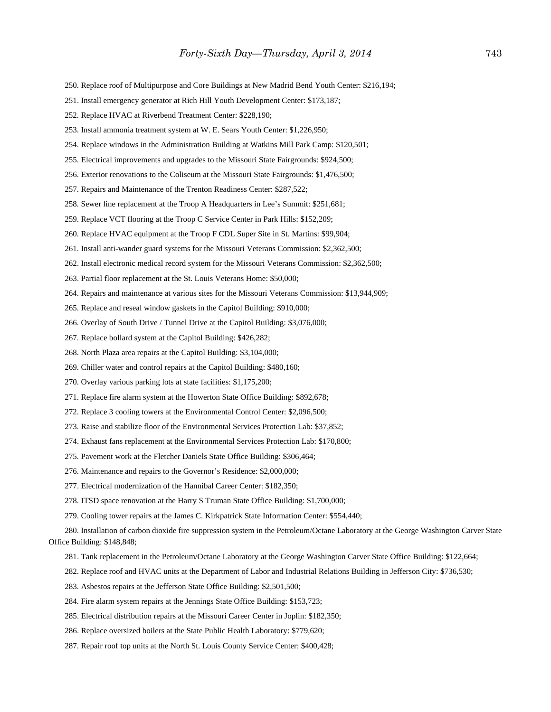- 250. Replace roof of Multipurpose and Core Buildings at New Madrid Bend Youth Center: \$216,194;
- 251. Install emergency generator at Rich Hill Youth Development Center: \$173,187;
- 252. Replace HVAC at Riverbend Treatment Center: \$228,190;
- 253. Install ammonia treatment system at W. E. Sears Youth Center: \$1,226,950;
- 254. Replace windows in the Administration Building at Watkins Mill Park Camp: \$120,501;
- 255. Electrical improvements and upgrades to the Missouri State Fairgrounds: \$924,500;
- 256. Exterior renovations to the Coliseum at the Missouri State Fairgrounds: \$1,476,500;
- 257. Repairs and Maintenance of the Trenton Readiness Center: \$287,522;
- 258. Sewer line replacement at the Troop A Headquarters in Lee's Summit: \$251,681;
- 259. Replace VCT flooring at the Troop C Service Center in Park Hills: \$152,209;
- 260. Replace HVAC equipment at the Troop F CDL Super Site in St. Martins: \$99,904;
- 261. Install anti-wander guard systems for the Missouri Veterans Commission: \$2,362,500;
- 262. Install electronic medical record system for the Missouri Veterans Commission: \$2,362,500;
- 263. Partial floor replacement at the St. Louis Veterans Home: \$50,000;
- 264. Repairs and maintenance at various sites for the Missouri Veterans Commission: \$13,944,909;
- 265. Replace and reseal window gaskets in the Capitol Building: \$910,000;
- 266. Overlay of South Drive / Tunnel Drive at the Capitol Building: \$3,076,000;
- 267. Replace bollard system at the Capitol Building: \$426,282;
- 268. North Plaza area repairs at the Capitol Building: \$3,104,000;
- 269. Chiller water and control repairs at the Capitol Building: \$480,160;
- 270. Overlay various parking lots at state facilities: \$1,175,200;
- 271. Replace fire alarm system at the Howerton State Office Building: \$892,678;
- 272. Replace 3 cooling towers at the Environmental Control Center: \$2,096,500;
- 273. Raise and stabilize floor of the Environmental Services Protection Lab: \$37,852;
- 274. Exhaust fans replacement at the Environmental Services Protection Lab: \$170,800;
- 275. Pavement work at the Fletcher Daniels State Office Building: \$306,464;
- 276. Maintenance and repairs to the Governor's Residence: \$2,000,000;
- 277. Electrical modernization of the Hannibal Career Center: \$182,350;
- 278. ITSD space renovation at the Harry S Truman State Office Building: \$1,700,000;
- 279. Cooling tower repairs at the James C. Kirkpatrick State Information Center: \$554,440;

280. Installation of carbon dioxide fire suppression system in the Petroleum/Octane Laboratory at the George Washington Carver State Office Building: \$148,848;

- 281. Tank replacement in the Petroleum/Octane Laboratory at the George Washington Carver State Office Building: \$122,664;
- 282. Replace roof and HVAC units at the Department of Labor and Industrial Relations Building in Jefferson City: \$736,530;
- 283. Asbestos repairs at the Jefferson State Office Building: \$2,501,500;
- 284. Fire alarm system repairs at the Jennings State Office Building: \$153,723;
- 285. Electrical distribution repairs at the Missouri Career Center in Joplin: \$182,350;
- 286. Replace oversized boilers at the State Public Health Laboratory: \$779,620;
- 287. Repair roof top units at the North St. Louis County Service Center: \$400,428;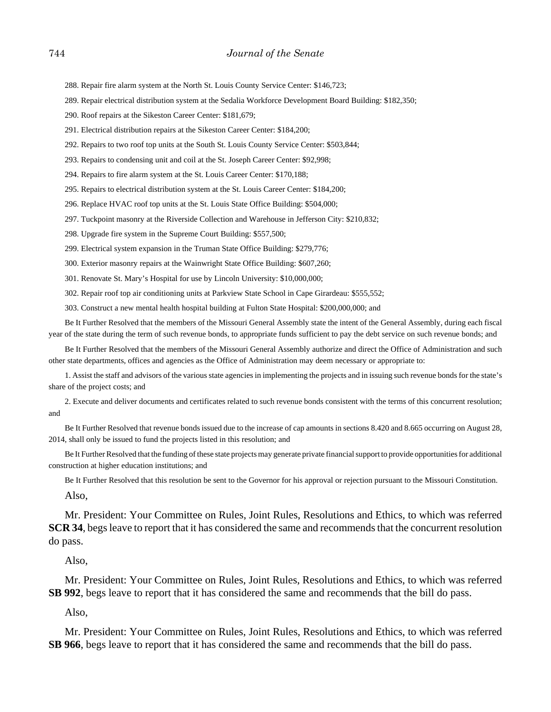288. Repair fire alarm system at the North St. Louis County Service Center: \$146,723;

289. Repair electrical distribution system at the Sedalia Workforce Development Board Building: \$182,350;

290. Roof repairs at the Sikeston Career Center: \$181,679;

291. Electrical distribution repairs at the Sikeston Career Center: \$184,200;

292. Repairs to two roof top units at the South St. Louis County Service Center: \$503,844;

293. Repairs to condensing unit and coil at the St. Joseph Career Center: \$92,998;

294. Repairs to fire alarm system at the St. Louis Career Center: \$170,188;

295. Repairs to electrical distribution system at the St. Louis Career Center: \$184,200;

296. Replace HVAC roof top units at the St. Louis State Office Building: \$504,000;

297. Tuckpoint masonry at the Riverside Collection and Warehouse in Jefferson City: \$210,832;

298. Upgrade fire system in the Supreme Court Building: \$557,500;

299. Electrical system expansion in the Truman State Office Building: \$279,776;

300. Exterior masonry repairs at the Wainwright State Office Building: \$607,260;

301. Renovate St. Mary's Hospital for use by Lincoln University: \$10,000,000;

302. Repair roof top air conditioning units at Parkview State School in Cape Girardeau: \$555,552;

303. Construct a new mental health hospital building at Fulton State Hospital: \$200,000,000; and

Be It Further Resolved that the members of the Missouri General Assembly state the intent of the General Assembly, during each fiscal year of the state during the term of such revenue bonds, to appropriate funds sufficient to pay the debt service on such revenue bonds; and

Be It Further Resolved that the members of the Missouri General Assembly authorize and direct the Office of Administration and such other state departments, offices and agencies as the Office of Administration may deem necessary or appropriate to:

1. Assist the staff and advisors of the various state agencies in implementing the projects and in issuing such revenue bonds for the state's share of the project costs; and

2. Execute and deliver documents and certificates related to such revenue bonds consistent with the terms of this concurrent resolution; and

Be It Further Resolved that revenue bonds issued due to the increase of cap amounts in sections 8.420 and 8.665 occurring on August 28, 2014, shall only be issued to fund the projects listed in this resolution; and

Be It Further Resolved that the funding of these state projects may generate private financial support to provide opportunities for additional construction at higher education institutions; and

Be It Further Resolved that this resolution be sent to the Governor for his approval or rejection pursuant to the Missouri Constitution. Also,

Mr. President: Your Committee on Rules, Joint Rules, Resolutions and Ethics, to which was referred **SCR 34**, begs leave to report that it has considered the same and recommends that the concurrent resolution do pass.

Also,

Mr. President: Your Committee on Rules, Joint Rules, Resolutions and Ethics, to which was referred **SB 992**, begs leave to report that it has considered the same and recommends that the bill do pass.

Also,

Mr. President: Your Committee on Rules, Joint Rules, Resolutions and Ethics, to which was referred **SB 966**, begs leave to report that it has considered the same and recommends that the bill do pass.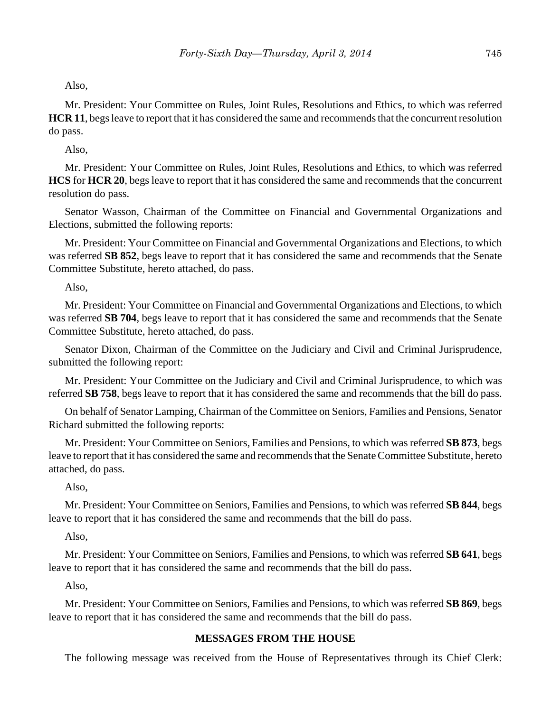Also,

Mr. President: Your Committee on Rules, Joint Rules, Resolutions and Ethics, to which was referred **HCR 11**, begs leave to report that it has considered the same and recommends that the concurrent resolution do pass.

Also,

Mr. President: Your Committee on Rules, Joint Rules, Resolutions and Ethics, to which was referred **HCS** for **HCR 20**, begs leave to report that it has considered the same and recommends that the concurrent resolution do pass.

Senator Wasson, Chairman of the Committee on Financial and Governmental Organizations and Elections, submitted the following reports:

Mr. President: Your Committee on Financial and Governmental Organizations and Elections, to which was referred **SB 852**, begs leave to report that it has considered the same and recommends that the Senate Committee Substitute, hereto attached, do pass.

Also,

Mr. President: Your Committee on Financial and Governmental Organizations and Elections, to which was referred **SB 704**, begs leave to report that it has considered the same and recommends that the Senate Committee Substitute, hereto attached, do pass.

Senator Dixon, Chairman of the Committee on the Judiciary and Civil and Criminal Jurisprudence, submitted the following report:

Mr. President: Your Committee on the Judiciary and Civil and Criminal Jurisprudence, to which was referred **SB 758**, begs leave to report that it has considered the same and recommends that the bill do pass.

On behalf of Senator Lamping, Chairman of the Committee on Seniors, Families and Pensions, Senator Richard submitted the following reports:

Mr. President: Your Committee on Seniors, Families and Pensions, to which was referred **SB 873**, begs leave to report that it has considered the same and recommends that the Senate Committee Substitute, hereto attached, do pass.

Also,

Mr. President: Your Committee on Seniors, Families and Pensions, to which was referred **SB 844**, begs leave to report that it has considered the same and recommends that the bill do pass.

Also,

Mr. President: Your Committee on Seniors, Families and Pensions, to which was referred **SB 641**, begs leave to report that it has considered the same and recommends that the bill do pass.

Also,

Mr. President: Your Committee on Seniors, Families and Pensions, to which was referred **SB 869**, begs leave to report that it has considered the same and recommends that the bill do pass.

## **MESSAGES FROM THE HOUSE**

The following message was received from the House of Representatives through its Chief Clerk: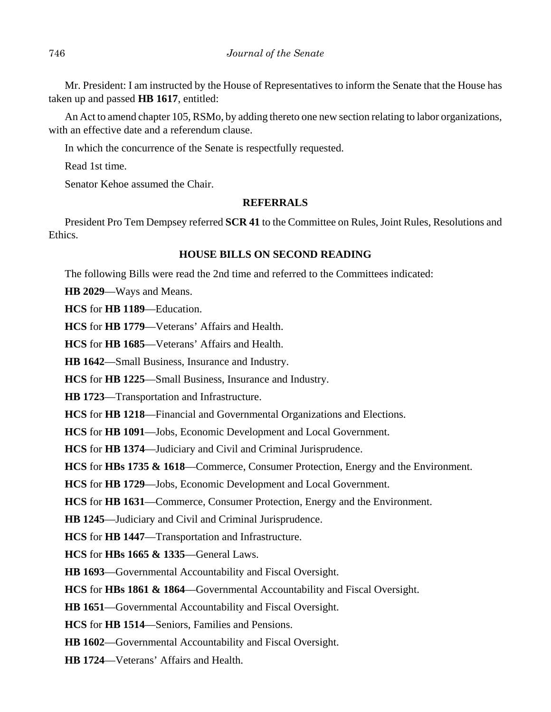Mr. President: I am instructed by the House of Representatives to inform the Senate that the House has taken up and passed **HB 1617**, entitled:

An Act to amend chapter 105, RSMo, by adding thereto one new section relating to labor organizations, with an effective date and a referendum clause.

In which the concurrence of the Senate is respectfully requested.

Read 1st time.

Senator Kehoe assumed the Chair.

#### **REFERRALS**

President Pro Tem Dempsey referred **SCR 41** to the Committee on Rules, Joint Rules, Resolutions and Ethics.

## **HOUSE BILLS ON SECOND READING**

The following Bills were read the 2nd time and referred to the Committees indicated:

**HB 2029**––Ways and Means.

**HCS** for **HB 1189**––Education.

**HCS** for **HB 1779**––Veterans' Affairs and Health.

**HCS** for **HB 1685**––Veterans' Affairs and Health.

**HB 1642**––Small Business, Insurance and Industry.

**HCS** for **HB 1225**––Small Business, Insurance and Industry.

**HB 1723**––Transportation and Infrastructure.

**HCS** for **HB 1218**––Financial and Governmental Organizations and Elections.

**HCS** for **HB 1091**––Jobs, Economic Development and Local Government.

**HCS** for **HB 1374**––Judiciary and Civil and Criminal Jurisprudence.

**HCS** for **HBs 1735 & 1618**—Commerce, Consumer Protection, Energy and the Environment.

**HCS** for **HB 1729**––Jobs, Economic Development and Local Government.

**HCS** for **HB 1631**––Commerce, Consumer Protection, Energy and the Environment.

**HB 1245**––Judiciary and Civil and Criminal Jurisprudence.

**HCS** for **HB 1447**––Transportation and Infrastructure.

**HCS** for **HBs 1665 & 1335**––General Laws.

**HB 1693**––Governmental Accountability and Fiscal Oversight.

**HCS** for **HBs 1861 & 1864**––Governmental Accountability and Fiscal Oversight.

**HB 1651**––Governmental Accountability and Fiscal Oversight.

**HCS** for **HB 1514**––Seniors, Families and Pensions.

**HB 1602**––Governmental Accountability and Fiscal Oversight.

**HB 1724**––Veterans' Affairs and Health.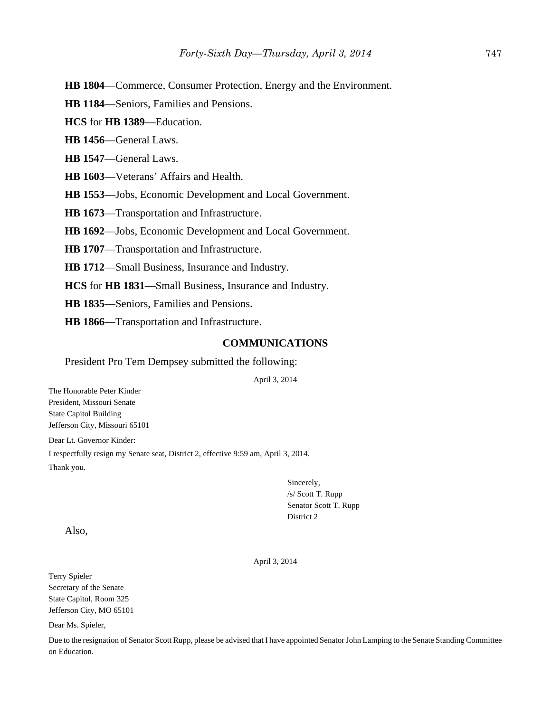**HB 1804**––Commerce, Consumer Protection, Energy and the Environment.

**HB 1184**––Seniors, Families and Pensions.

**HCS** for **HB 1389**––Education.

**HB 1456**––General Laws.

**HB 1547**––General Laws.

**HB 1603**––Veterans' Affairs and Health.

**HB 1553**––Jobs, Economic Development and Local Government.

**HB 1673**––Transportation and Infrastructure.

**HB 1692**––Jobs, Economic Development and Local Government.

**HB 1707**––Transportation and Infrastructure.

**HB 1712**––Small Business, Insurance and Industry.

**HCS** for **HB 1831**––Small Business, Insurance and Industry.

**HB 1835**––Seniors, Families and Pensions.

**HB 1866**––Transportation and Infrastructure.

#### **COMMUNICATIONS**

#### President Pro Tem Dempsey submitted the following:

April 3, 2014

The Honorable Peter Kinder President, Missouri Senate State Capitol Building Jefferson City, Missouri 65101

Dear Lt. Governor Kinder:

I respectfully resign my Senate seat, District 2, effective 9:59 am, April 3, 2014.

Thank you.

Sincerely, /s/ Scott T. Rupp Senator Scott T. Rupp District 2

Also,

April 3, 2014

Terry Spieler Secretary of the Senate State Capitol, Room 325 Jefferson City, MO 65101

Dear Ms. Spieler,

Due to the resignation of Senator Scott Rupp, please be advised that I have appointed Senator John Lamping to the Senate Standing Committee on Education.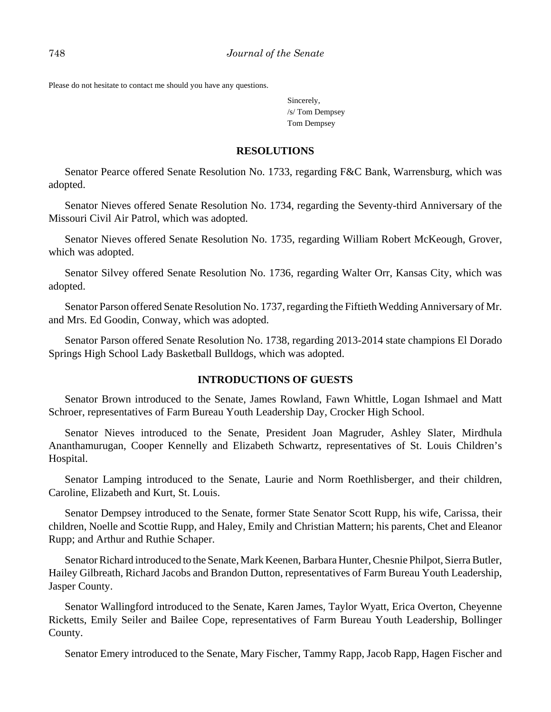Please do not hesitate to contact me should you have any questions.

Sincerely, /s/ Tom Dempsey Tom Dempsey

#### **RESOLUTIONS**

Senator Pearce offered Senate Resolution No. 1733, regarding F&C Bank, Warrensburg, which was adopted.

Senator Nieves offered Senate Resolution No. 1734, regarding the Seventy-third Anniversary of the Missouri Civil Air Patrol, which was adopted.

Senator Nieves offered Senate Resolution No. 1735, regarding William Robert McKeough, Grover, which was adopted.

Senator Silvey offered Senate Resolution No. 1736, regarding Walter Orr, Kansas City, which was adopted.

Senator Parson offered Senate Resolution No. 1737, regarding the Fiftieth Wedding Anniversary of Mr. and Mrs. Ed Goodin, Conway, which was adopted.

Senator Parson offered Senate Resolution No. 1738, regarding 2013-2014 state champions El Dorado Springs High School Lady Basketball Bulldogs, which was adopted.

#### **INTRODUCTIONS OF GUESTS**

Senator Brown introduced to the Senate, James Rowland, Fawn Whittle, Logan Ishmael and Matt Schroer, representatives of Farm Bureau Youth Leadership Day, Crocker High School.

Senator Nieves introduced to the Senate, President Joan Magruder, Ashley Slater, Mirdhula Ananthamurugan, Cooper Kennelly and Elizabeth Schwartz, representatives of St. Louis Children's Hospital.

Senator Lamping introduced to the Senate, Laurie and Norm Roethlisberger, and their children, Caroline, Elizabeth and Kurt, St. Louis.

Senator Dempsey introduced to the Senate, former State Senator Scott Rupp, his wife, Carissa, their children, Noelle and Scottie Rupp, and Haley, Emily and Christian Mattern; his parents, Chet and Eleanor Rupp; and Arthur and Ruthie Schaper.

Senator Richard introduced to the Senate, Mark Keenen, Barbara Hunter, Chesnie Philpot, Sierra Butler, Hailey Gilbreath, Richard Jacobs and Brandon Dutton, representatives of Farm Bureau Youth Leadership, Jasper County.

Senator Wallingford introduced to the Senate, Karen James, Taylor Wyatt, Erica Overton, Cheyenne Ricketts, Emily Seiler and Bailee Cope, representatives of Farm Bureau Youth Leadership, Bollinger County.

Senator Emery introduced to the Senate, Mary Fischer, Tammy Rapp, Jacob Rapp, Hagen Fischer and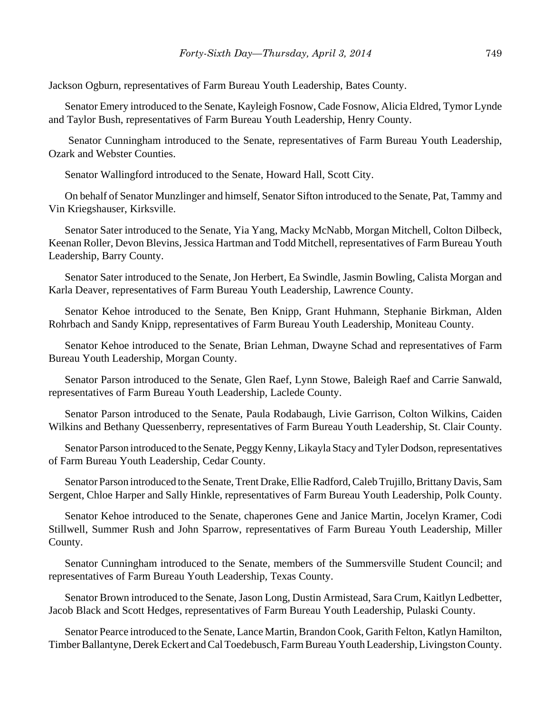Jackson Ogburn, representatives of Farm Bureau Youth Leadership, Bates County.

Senator Emery introduced to the Senate, Kayleigh Fosnow, Cade Fosnow, Alicia Eldred, Tymor Lynde and Taylor Bush, representatives of Farm Bureau Youth Leadership, Henry County.

 Senator Cunningham introduced to the Senate, representatives of Farm Bureau Youth Leadership, Ozark and Webster Counties.

Senator Wallingford introduced to the Senate, Howard Hall, Scott City.

On behalf of Senator Munzlinger and himself, Senator Sifton introduced to the Senate, Pat, Tammy and Vin Kriegshauser, Kirksville.

Senator Sater introduced to the Senate, Yia Yang, Macky McNabb, Morgan Mitchell, Colton Dilbeck, Keenan Roller, Devon Blevins, Jessica Hartman and Todd Mitchell, representatives of Farm Bureau Youth Leadership, Barry County.

Senator Sater introduced to the Senate, Jon Herbert, Ea Swindle, Jasmin Bowling, Calista Morgan and Karla Deaver, representatives of Farm Bureau Youth Leadership, Lawrence County.

Senator Kehoe introduced to the Senate, Ben Knipp, Grant Huhmann, Stephanie Birkman, Alden Rohrbach and Sandy Knipp, representatives of Farm Bureau Youth Leadership, Moniteau County.

Senator Kehoe introduced to the Senate, Brian Lehman, Dwayne Schad and representatives of Farm Bureau Youth Leadership, Morgan County.

Senator Parson introduced to the Senate, Glen Raef, Lynn Stowe, Baleigh Raef and Carrie Sanwald, representatives of Farm Bureau Youth Leadership, Laclede County.

Senator Parson introduced to the Senate, Paula Rodabaugh, Livie Garrison, Colton Wilkins, Caiden Wilkins and Bethany Quessenberry, representatives of Farm Bureau Youth Leadership, St. Clair County.

Senator Parson introduced to the Senate, Peggy Kenny, Likayla Stacy and Tyler Dodson, representatives of Farm Bureau Youth Leadership, Cedar County.

Senator Parson introduced to the Senate, Trent Drake, Ellie Radford, Caleb Trujillo, Brittany Davis, Sam Sergent, Chloe Harper and Sally Hinkle, representatives of Farm Bureau Youth Leadership, Polk County.

Senator Kehoe introduced to the Senate, chaperones Gene and Janice Martin, Jocelyn Kramer, Codi Stillwell, Summer Rush and John Sparrow, representatives of Farm Bureau Youth Leadership, Miller County.

Senator Cunningham introduced to the Senate, members of the Summersville Student Council; and representatives of Farm Bureau Youth Leadership, Texas County.

Senator Brown introduced to the Senate, Jason Long, Dustin Armistead, Sara Crum, Kaitlyn Ledbetter, Jacob Black and Scott Hedges, representatives of Farm Bureau Youth Leadership, Pulaski County.

Senator Pearce introduced to the Senate, Lance Martin, Brandon Cook, Garith Felton, Katlyn Hamilton, Timber Ballantyne, Derek Eckert and Cal Toedebusch, Farm Bureau Youth Leadership, Livingston County.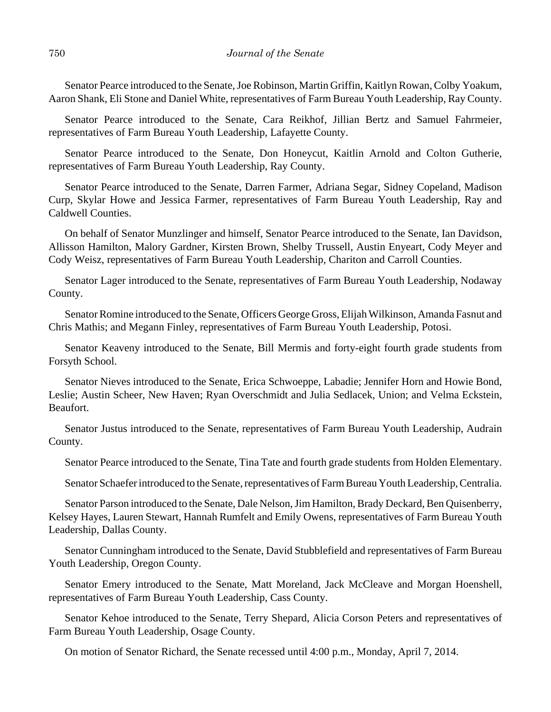Senator Pearce introduced to the Senate, Joe Robinson, Martin Griffin, Kaitlyn Rowan, Colby Yoakum, Aaron Shank, Eli Stone and Daniel White, representatives of Farm Bureau Youth Leadership, Ray County.

Senator Pearce introduced to the Senate, Cara Reikhof, Jillian Bertz and Samuel Fahrmeier, representatives of Farm Bureau Youth Leadership, Lafayette County.

Senator Pearce introduced to the Senate, Don Honeycut, Kaitlin Arnold and Colton Gutherie, representatives of Farm Bureau Youth Leadership, Ray County.

Senator Pearce introduced to the Senate, Darren Farmer, Adriana Segar, Sidney Copeland, Madison Curp, Skylar Howe and Jessica Farmer, representatives of Farm Bureau Youth Leadership, Ray and Caldwell Counties.

On behalf of Senator Munzlinger and himself, Senator Pearce introduced to the Senate, Ian Davidson, Allisson Hamilton, Malory Gardner, Kirsten Brown, Shelby Trussell, Austin Enyeart, Cody Meyer and Cody Weisz, representatives of Farm Bureau Youth Leadership, Chariton and Carroll Counties.

Senator Lager introduced to the Senate, representatives of Farm Bureau Youth Leadership, Nodaway County.

Senator Romine introduced to the Senate, Officers George Gross, Elijah Wilkinson, Amanda Fasnut and Chris Mathis; and Megann Finley, representatives of Farm Bureau Youth Leadership, Potosi.

Senator Keaveny introduced to the Senate, Bill Mermis and forty-eight fourth grade students from Forsyth School.

Senator Nieves introduced to the Senate, Erica Schwoeppe, Labadie; Jennifer Horn and Howie Bond, Leslie; Austin Scheer, New Haven; Ryan Overschmidt and Julia Sedlacek, Union; and Velma Eckstein, Beaufort.

Senator Justus introduced to the Senate, representatives of Farm Bureau Youth Leadership, Audrain County.

Senator Pearce introduced to the Senate, Tina Tate and fourth grade students from Holden Elementary.

Senator Schaefer introduced to the Senate, representatives of Farm Bureau Youth Leadership, Centralia.

Senator Parson introduced to the Senate, Dale Nelson, Jim Hamilton, Brady Deckard, Ben Quisenberry, Kelsey Hayes, Lauren Stewart, Hannah Rumfelt and Emily Owens, representatives of Farm Bureau Youth Leadership, Dallas County.

Senator Cunningham introduced to the Senate, David Stubblefield and representatives of Farm Bureau Youth Leadership, Oregon County.

Senator Emery introduced to the Senate, Matt Moreland, Jack McCleave and Morgan Hoenshell, representatives of Farm Bureau Youth Leadership, Cass County.

Senator Kehoe introduced to the Senate, Terry Shepard, Alicia Corson Peters and representatives of Farm Bureau Youth Leadership, Osage County.

On motion of Senator Richard, the Senate recessed until 4:00 p.m., Monday, April 7, 2014.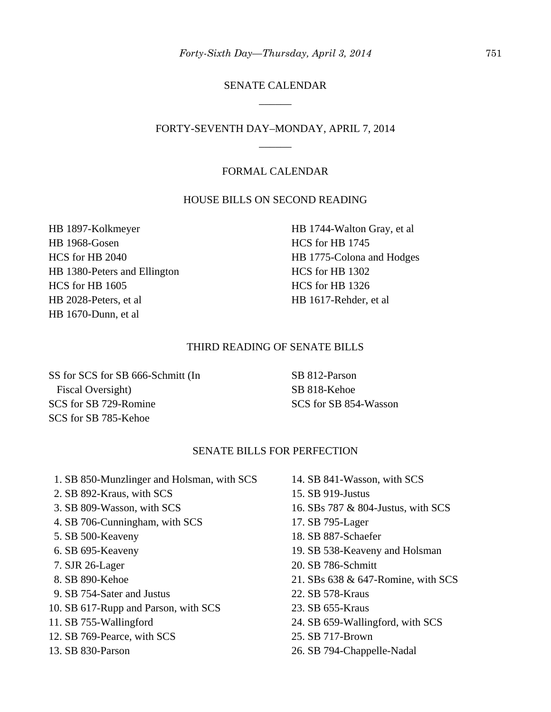# SENATE CALENDAR \_\_\_\_\_\_

# FORTY-SEVENTH DAY–MONDAY, APRIL 7, 2014 \_\_\_\_\_\_

#### FORMAL CALENDAR

#### HOUSE BILLS ON SECOND READING

HB 1897-Kolkmeyer HB 1968-Gosen HCS for HB 2040 HB 1380-Peters and Ellington HCS for HB 1605 HB 2028-Peters, et al HB 1670-Dunn, et al

HB 1744-Walton Gray, et al HCS for HB 1745 HB 1775-Colona and Hodges HCS for HB 1302 HCS for HB 1326 HB 1617-Rehder, et al

#### THIRD READING OF SENATE BILLS

SS for SCS for SB 666-Schmitt (In Fiscal Oversight) SCS for SB 729-Romine SCS for SB 785-Kehoe

SB 812-Parson SB 818-Kehoe SCS for SB 854-Wasson

#### SENATE BILLS FOR PERFECTION

- 1. SB 850-Munzlinger and Holsman, with SCS
- 2. SB 892-Kraus, with SCS
- 3. SB 809-Wasson, with SCS
- 4. SB 706-Cunningham, with SCS
- 5. SB 500-Keaveny
- 6. SB 695-Keaveny
- 7. SJR 26-Lager
- 8. SB 890-Kehoe
- 9. SB 754-Sater and Justus
- 10. SB 617-Rupp and Parson, with SCS
- 11. SB 755-Wallingford
- 12. SB 769-Pearce, with SCS
- 13. SB 830-Parson
- 14. SB 841-Wasson, with SCS
- 15. SB 919-Justus
- 16. SBs 787 & 804-Justus, with SCS
- 17. SB 795-Lager
- 18. SB 887-Schaefer
- 19. SB 538-Keaveny and Holsman
- 20. SB 786-Schmitt
- 21. SBs 638 & 647-Romine, with SCS
- 22. SB 578-Kraus
- 23. SB 655-Kraus
- 24. SB 659-Wallingford, with SCS
- 25. SB 717-Brown
- 26. SB 794-Chappelle-Nadal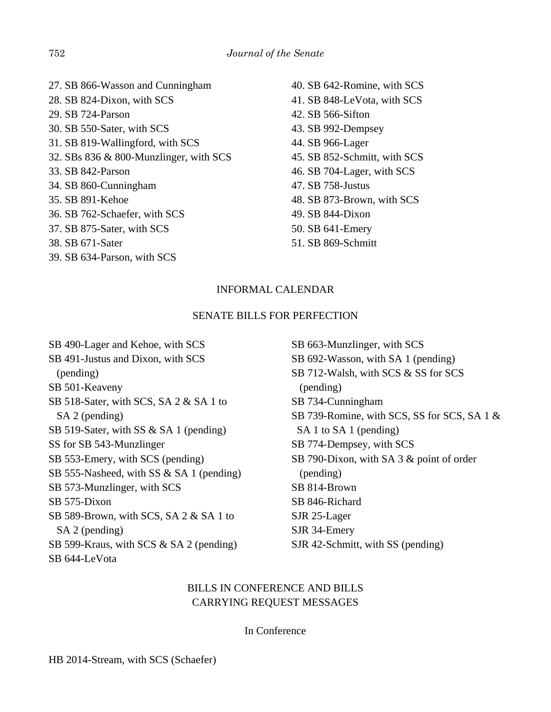- 27. SB 866-Wasson and Cunningham 28. SB 824-Dixon, with SCS 29. SB 724-Parson 30. SB 550-Sater, with SCS 31. SB 819-Wallingford, with SCS 32. SBs 836 & 800-Munzlinger, with SCS 33. SB 842-Parson 34. SB 860-Cunningham 35. SB 891-Kehoe 36. SB 762-Schaefer, with SCS 37. SB 875-Sater, with SCS 38. SB 671-Sater 39. SB 634-Parson, with SCS
- 40. SB 642-Romine, with SCS 41. SB 848-LeVota, with SCS 42. SB 566-Sifton 43. SB 992-Dempsey 44. SB 966-Lager 45. SB 852-Schmitt, with SCS 46. SB 704-Lager, with SCS 47. SB 758-Justus 48. SB 873-Brown, with SCS 49. SB 844-Dixon 50. SB 641-Emery
- 51. SB 869-Schmitt

# INFORMAL CALENDAR

## SENATE BILLS FOR PERFECTION

SB 490-Lager and Kehoe, with SCS SB 491-Justus and Dixon, with SCS (pending) SB 501-Keaveny SB 518-Sater, with SCS, SA 2 & SA 1 to SA 2 (pending) SB 519-Sater, with SS & SA 1 (pending) SS for SB 543-Munzlinger SB 553-Emery, with SCS (pending) SB 555-Nasheed, with SS & SA 1 (pending) SB 573-Munzlinger, with SCS SB 575-Dixon SB 589-Brown, with SCS, SA 2 & SA 1 to SA 2 (pending) SB 599-Kraus, with SCS & SA 2 (pending) SB 644-LeVota

SB 663-Munzlinger, with SCS SB 692-Wasson, with SA 1 (pending) SB 712-Walsh, with SCS & SS for SCS (pending) SB 734-Cunningham SB 739-Romine, with SCS, SS for SCS, SA 1 & SA 1 to SA 1 (pending) SB 774-Dempsey, with SCS SB 790-Dixon, with SA 3 & point of order (pending) SB 814-Brown SB 846-Richard SJR 25-Lager SJR 34-Emery SJR 42-Schmitt, with SS (pending)

# BILLS IN CONFERENCE AND BILLS CARRYING REQUEST MESSAGES

## In Conference